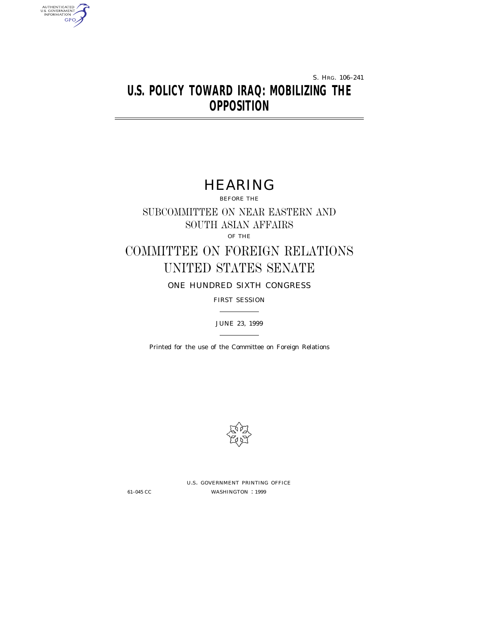S. HRG. 106–241

# **U.S. POLICY TOWARD IRAQ: MOBILIZING THE OPPOSITION**

# HEARING

BEFORE THE

SUBCOMMITTEE ON NEAR EASTERN AND SOUTH ASIAN AFFAIRS

OF THE

# COMMITTEE ON FOREIGN RELATIONS UNITED STATES SENATE

ONE HUNDRED SIXTH CONGRESS

FIRST SESSION

# JUNE 23, 1999

Printed for the use of the Committee on Foreign Relations



U.S. GOVERNMENT PRINTING OFFICE 61–045 CC WASHINGTON : 1999

AUTHENTICATED<br>U.S. GOVERNMENT<br>INFORMATION

GPO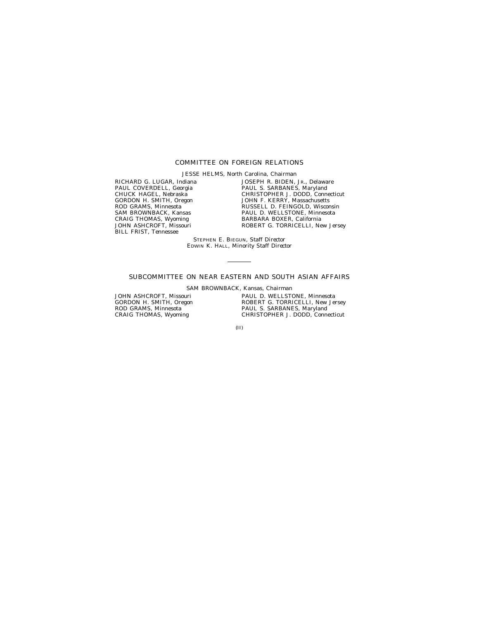# COMMITTEE ON FOREIGN RELATIONS

JESSE HELMS, North Carolina, *Chairman*

RICHARD G. LUGAR, Indiana PAUL COVERDELL, Georgia CHUCK HAGEL, Nebraska GORDON H. SMITH, Oregon ROD GRAMS, Minnesota SAM BROWNBACK, Kansas CRAIG THOMAS, Wyoming JOHN ASHCROFT, Missouri BILL FRIST, Tennessee

JOSEPH R. BIDEN, JR., Delaware PAUL S. SARBANES, Maryland CHRISTOPHER J. DODD, Connecticut JOHN F. KERRY, Massachusetts RUSSELL D. FEINGOLD, Wisconsin PAUL D. WELLSTONE, Minnesota BARBARA BOXER, California ROBERT G. TORRICELLI, New Jersey

STEPHEN E. BIEGUN, *Staff Director* EDWIN K. HALL, *Minority Staff Director*

# SUBCOMMITTEE ON NEAR EASTERN AND SOUTH ASIAN AFFAIRS

SAM BROWNBACK, Kansas, *Chairman*

JOHN ASHCROFT, Missouri GORDON H. SMITH, Oregon ROD GRAMS, Minnesota CRAIG THOMAS, Wyoming

PAUL D. WELLSTONE, Minnesota ROBERT G. TORRICELLI, New Jersey PAUL S. SARBANES, Maryland CHRISTOPHER J. DODD, Connecticut

(II)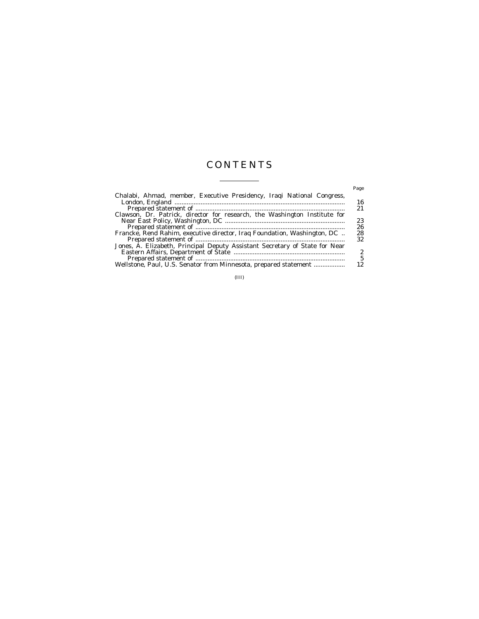# CONTENTS

 $\overline{a}$ 

|                                                                             | Page |
|-----------------------------------------------------------------------------|------|
| Chalabi, Ahmad, member, Executive Presidency, Iraqi National Congress,      |      |
|                                                                             | 16   |
|                                                                             | 21   |
| Clawson, Dr. Patrick, director for research, the Washington Institute for   |      |
|                                                                             | 23   |
|                                                                             | 26   |
| Francke, Rend Rahim, executive director, Iraq Foundation, Washington, DC    | 28   |
|                                                                             | 32   |
| Jones, A. Elizabeth, Principal Deputy Assistant Secretary of State for Near |      |
|                                                                             | 2    |
|                                                                             | 5    |
| Wellstone, Paul, U.S. Senator from Minnesota, prepared statement            |      |
|                                                                             |      |

(III)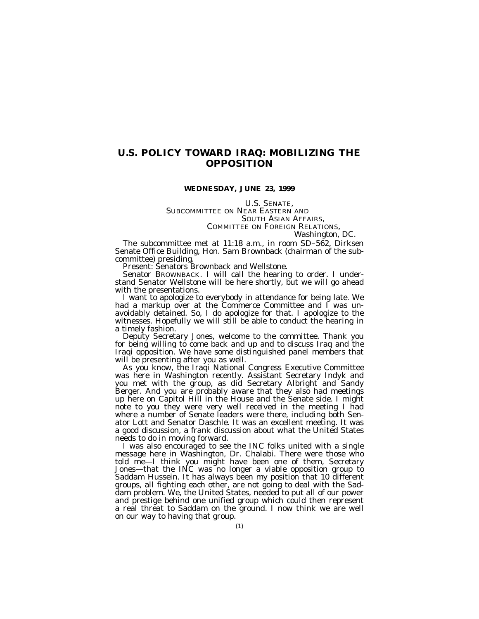# **U.S. POLICY TOWARD IRAQ: MOBILIZING THE OPPOSITION**

## **WEDNESDAY, JUNE 23, 1999**

U.S. SENATE,<br>SUBCOMMITTEE ON NEAR EASTERN AND<br>SOUTH ASIAN AFFAIRS, COMMITTEE ON FOREIGN RELATIONS,<br>*Washington, DC.* 

The subcommittee met at 11:18 a.m., in room SD–562, Dirksen Senate Office Building, Hon. Sam Brownback (chairman of the sub-

Present: Senators Brownback and Wellstone.<br>Senator Brownback. I will call the hearing to order. I understand Senator Wellstone will be here shortly, but we will go ahead

with the presentations.<br>I want to apologize to everybody in attendance for being late. We I want to apologize to everybody in attendance for being late. We had a markup over at the Commerce Committee and I was unavoidably detained. So, I do apologize for that. I apologize to the witnesses. Hopefully we will still be able to conduct the hearing in a timely fashion.

Deputy Secretary Jones, welcome to the committee. Thank you for being willing to come back and up and to discuss Iraq and the Iraqi opposition. We have some distinguished panel members that will be presenting after you as well.

As you know, the Iraqi National Congress Executive Committee was here in Washington recently. Assistant Secretary Indyk and you met with the group, as did Secretary Albright and Sandy Berger. And you are probably aware that they also had meetings up here on Capitol Hill in the House and the Senate side. I might note to you they were very well received in the meeting I had where a number of Senate leaders were there, including both Senator Lott and Senator Daschle. It was an excellent meeting. It was a good discussion, a frank discussion about what the United States needs to do in moving forward.

I was also encouraged to see the INC folks united with a single message here in Washington, Dr. Chalabi. There were those who told me—I think you might have been one of them, Secretary Jones—that the INC was no longer a viable opposition group to Saddam Hussein. It has always been my position that 10 different groups, all fighting each other, are not going to deal with the Saddam problem. We, the United States, needed to put all of our power and prestige behind one unified group which could then represent a real threat to Saddam on the ground. I now think we are well on our way to having that group.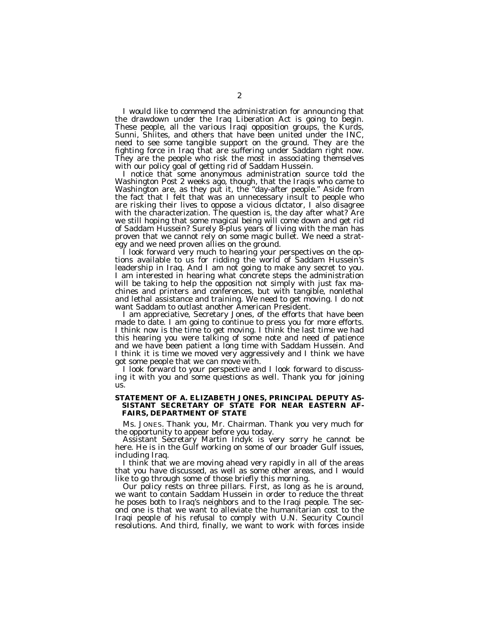I would like to commend the administration for announcing that the drawdown under the Iraq Liberation Act is going to begin. These people, all the various Iraqi opposition groups, the Kurds, Sunni, Shiites, and others that have been united under the INC, need to see some tangible support on the ground. They are the fighting force in Iraq that are suffering under Saddam right now. They are the people who risk the most in associating themselves with our policy goal of getting rid of Saddam Hussein.

I notice that some anonymous administration source told the Washington Post 2 weeks ago, though, that the Iraqis who came to Washington are, as they put it, the ''day-after people.'' Aside from the fact that I felt that was an unnecessary insult to people who are risking their lives to oppose a vicious dictator, I also disagree with the characterization. The question is, the day after what? Are we still hoping that some magical being will come down and get rid of Saddam Hussein? Surely 8-plus years of living with the man has proven that we cannot rely on some magic bullet. We need a strategy and we need proven allies on the ground.

I look forward very much to hearing your perspectives on the options available to us for ridding the world of Saddam Hussein's leadership in Iraq. And I am not going to make any secret to you. I am interested in hearing what concrete steps the administration will be taking to help the opposition not simply with just fax machines and printers and conferences, but with tangible, nonlethal and lethal assistance and training. We need to get moving. I do not want Saddam to outlast another American President.

I am appreciative, Secretary Jones, of the efforts that have been made to date. I am going to continue to press you for more efforts. I think now is the time to get moving. I think the last time we had this hearing you were talking of some note and need of patience and we have been patient a long time with Saddam Hussein. And I think it is time we moved very aggressively and I think we have got some people that we can move with.

I look forward to your perspective and I look forward to discussing it with you and some questions as well. Thank you for joining us.

### **STATEMENT OF A. ELIZABETH JONES, PRINCIPAL DEPUTY AS-SISTANT SECRETARY OF STATE FOR NEAR EASTERN AF-FAIRS, DEPARTMENT OF STATE**

Ms. JONES. Thank you, Mr. Chairman. Thank you very much for the opportunity to appear before you today.

Assistant Secretary Martin Indyk is very sorry he cannot be here. He is in the Gulf working on some of our broader Gulf issues, including Iraq.

I think that we are moving ahead very rapidly in all of the areas that you have discussed, as well as some other areas, and I would like to go through some of those briefly this morning.

Our policy rests on three pillars. First, as long as he is around, we want to contain Saddam Hussein in order to reduce the threat he poses both to Iraq's neighbors and to the Iraqi people. The second one is that we want to alleviate the humanitarian cost to the Iraqi people of his refusal to comply with U.N. Security Council resolutions. And third, finally, we want to work with forces inside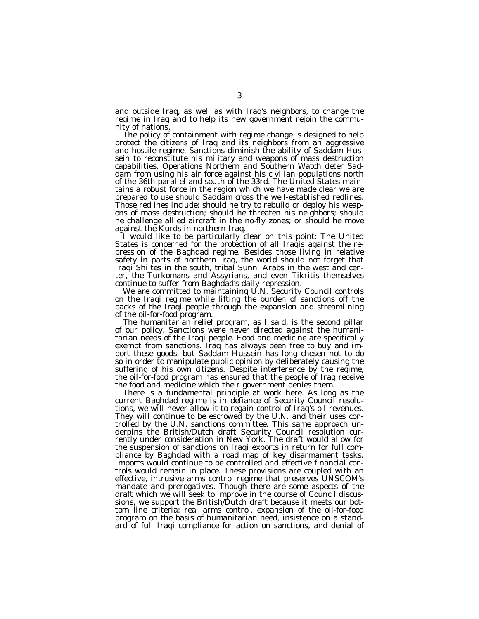and outside Iraq, as well as with Iraq's neighbors, to change the regime in Iraq and to help its new government rejoin the community of nations.

The policy of containment with regime change is designed to help protect the citizens of Iraq and its neighbors from an aggressive and hostile regime. Sanctions diminish the ability of Saddam Hussein to reconstitute his military and weapons of mass destruction capabilities. Operations Northern and Southern Watch deter Saddam from using his air force against his civilian populations north of the 36th parallel and south of the 33rd. The United States maintains a robust force in the region which we have made clear we are prepared to use should Saddam cross the well-established redlines. Those redlines include: should he try to rebuild or deploy his weapons of mass destruction; should he threaten his neighbors; should he challenge allied aircraft in the no-fly zones; or should he move against the Kurds in northern Iraq.

I would like to be particularly clear on this point: The United States is concerned for the protection of all Iraqis against the repression of the Baghdad regime. Besides those living in relative safety in parts of northern Iraq, the world should not forget that Iraqi Shiites in the south, tribal Sunni Arabs in the west and center, the Turkomans and Assyrians, and even Tikritis themselves continue to suffer from Baghdad's daily repression.

We are committed to maintaining U.N. Security Council controls on the Iraqi regime while lifting the burden of sanctions off the backs of the Iraqi people through the expansion and streamlining of the oil-for-food program.

The humanitarian relief program, as I said, is the second pillar of our policy. Sanctions were never directed against the humanitarian needs of the Iraqi people. Food and medicine are specifically exempt from sanctions. Iraq has always been free to buy and import these goods, but Saddam Hussein has long chosen not to do so in order to manipulate public opinion by deliberately causing the suffering of his own citizens. Despite interference by the regime, the oil-for-food program has ensured that the people of Iraq receive the food and medicine which their government denies them.

There is a fundamental principle at work here. As long as the current Baghdad regime is in defiance of Security Council resolutions, we will never allow it to regain control of Iraq's oil revenues. They will continue to be escrowed by the U.N. and their uses controlled by the U.N. sanctions committee. This same approach underpins the British/Dutch draft Security Council resolution currently under consideration in New York. The draft would allow for the suspension of sanctions on Iraqi exports in return for full compliance by Baghdad with a road map of key disarmament tasks. Imports would continue to be controlled and effective financial controls would remain in place. These provisions are coupled with an effective, intrusive arms control regime that preserves UNSCOM's mandate and prerogatives. Though there are some aspects of the draft which we will seek to improve in the course of Council discussions, we support the British/Dutch draft because it meets our bottom line criteria: real arms control, expansion of the oil-for-food program on the basis of humanitarian need, insistence on a standard of full Iraqi compliance for action on sanctions, and denial of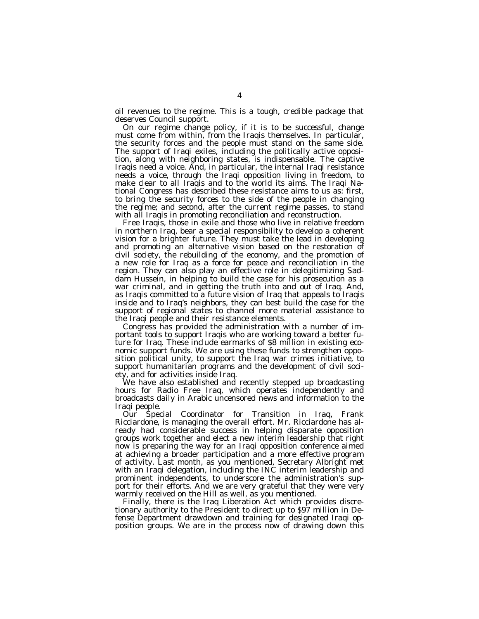oil revenues to the regime. This is a tough, credible package that deserves Council support.

On our regime change policy, if it is to be successful, change must come from within, from the Iraqis themselves. In particular, the security forces and the people must stand on the same side. The support of Iraqi exiles, including the politically active opposition, along with neighboring states, is indispensable. The captive Iraqis need a voice. And, in particular, the internal Iraqi resistance needs a voice, through the Iraqi opposition living in freedom, to make clear to all Iraqis and to the world its aims. The Iraqi National Congress has described these resistance aims to us as: first, to bring the security forces to the side of the people in changing the regime; and second, after the current regime passes, to stand with all Iraqis in promoting reconciliation and reconstruction.

Free Iraqis, those in exile and those who live in relative freedom in northern Iraq, bear a special responsibility to develop a coherent vision for a brighter future. They must take the lead in developing and promoting an alternative vision based on the restoration of civil society, the rebuilding of the economy, and the promotion of a new role for Iraq as a force for peace and reconciliation in the region. They can also play an effective role in delegitimizing Saddam Hussein, in helping to build the case for his prosecution as a war criminal, and in getting the truth into and out of Iraq. And, as Iraqis committed to a future vision of Iraq that appeals to Iraqis inside and to Iraq's neighbors, they can best build the case for the support of regional states to channel more material assistance to the Iraqi people and their resistance elements.

Congress has provided the administration with a number of important tools to support Iraqis who are working toward a better future for Iraq. These include earmarks of \$8 million in existing economic support funds. We are using these funds to strengthen opposition political unity, to support the Iraq war crimes initiative, to support humanitarian programs and the development of civil society, and for activities inside Iraq.

We have also established and recently stepped up broadcasting hours for Radio Free Iraq, which operates independently and broadcasts daily in Arabic uncensored news and information to the Iraqi people.

Our Special Coordinator for Transition in Iraq, Frank Ricciardone, is managing the overall effort. Mr. Ricciardone has already had considerable success in helping disparate opposition groups work together and elect a new interim leadership that right now is preparing the way for an Iraqi opposition conference aimed at achieving a broader participation and a more effective program of activity. Last month, as you mentioned, Secretary Albright met with an Iraqi delegation, including the INC interim leadership and prominent independents, to underscore the administration's support for their efforts. And we are very grateful that they were very warmly received on the Hill as well, as you mentioned.

Finally, there is the Iraq Liberation Act which provides discretionary authority to the President to direct up to \$97 million in Defense Department drawdown and training for designated Iraqi opposition groups. We are in the process now of drawing down this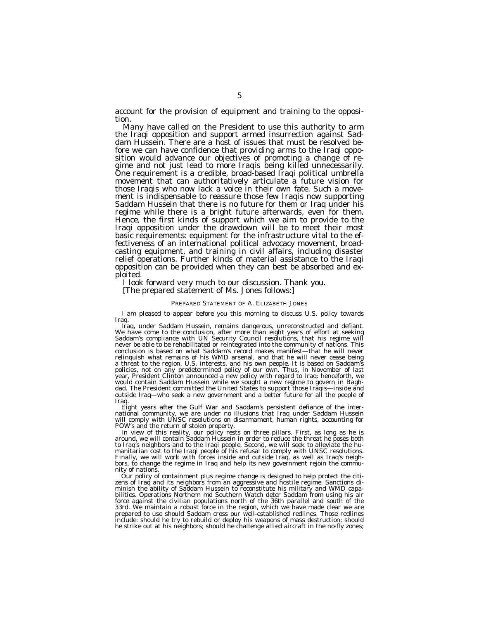account for the provision of equipment and training to the opposition.

Many have called on the President to use this authority to arm the Iraqi opposition and support armed insurrection against Saddam Hussein. There are a host of issues that must be resolved before we can have confidence that providing arms to the Iraqi opposition would advance our objectives of promoting a change of regime and not just lead to more Iraqis being killed unnecessarily. One requirement is a credible, broad-based Iraqi political umbrella movement that can authoritatively articulate a future vision for those Iraqis who now lack a voice in their own fate. Such a movement is indispensable to reassure those few Iraqis now supporting Saddam Hussein that there is no future for them or Iraq under his regime while there is a bright future afterwards, even for them. Hence, the first kinds of support which we aim to provide to the Iraqi opposition under the drawdown will be to meet their most basic requirements: equipment for the infrastructure vital to the effectiveness of an international political advocacy movement, broadcasting equipment, and training in civil affairs, including disaster relief operations. Further kinds of material assistance to the Iraqi opposition can be provided when they can best be absorbed and exploited.

I look forward very much to our discussion. Thank you.

[The prepared statement of Ms. Jones follows:]

#### PREPARED STATEMENT OF A. ELIZABETH JONES

I am pleased to appear before you this morning to discuss U.S. policy towards Iraq.

Iraq, under Saddam Hussein, remains dangerous, unreconstructed and defiant. We have come to the conclusion, after more than eight years of effort at seeking Saddam's compliance with UN Security Council resolutions, that his regime will never be able to be rehabilitated or reintegrated into the community of nations. This conclusion is based on what Saddam's record makes manifest—that he will never relinquish what remains of his WMD arsenal, and that he will never cease being a threat to the region, U.S. interests, and his own people. It is based on Saddam's policies, not on any predetermined policy of our own. Thus, in November of last year, President Clinton announced a new policy with regard to Iraq: henceforth, we would contain Saddam Hussein while we sought a new regime to govern in Baghdad. The President committed the United States to support those Iraqis—inside and outside Iraq—who seek a new government and a better future for all the people of Iraq.

Eight years after the Gulf War and Saddam's persistent defiance of the international community, we are under no illusions that Iraq under Saddam Hussein will comply with UNSC resolutions on disarmament, human rights, accounting for POW's and the return of stolen property.

In view of this reality, our policy rests on three pillars. First, as long as he is around, we will contain Saddam Hussein in order to reduce the threat he poses both to Iraq's neighbors and to the Iraqi people. Second, we will seek to alleviate the humanitarian cost to the Iraqi people of his refusal to comply with UNSC resolutions. Finally, we will work with forces inside and outside Iraq, as well as Iraq's neighbors, to change the regime in Iraq and help its new government rejoin the community of nations.

Our policy of containment plus regime change is designed to help protect the citizens of Iraq and its neighbors from an aggressive and hostile regime. Sanctions diminish the ability of Saddam Hussein to reconstitute his military and WMD capabilities. Operations Northern md Southern Watch deter Saddam from using his air force against the civilian populations north of the 36th parallel and south of the 33rd. We maintain a robust force in the region, which we have made clear we are prepared to use should Saddam cross our well-established redlines. Those redlines include: should he try to rebuild or deploy his weapons of mass destruction; should he strike out at his neighbors; should he challenge allied aircraft in the no-fly zones;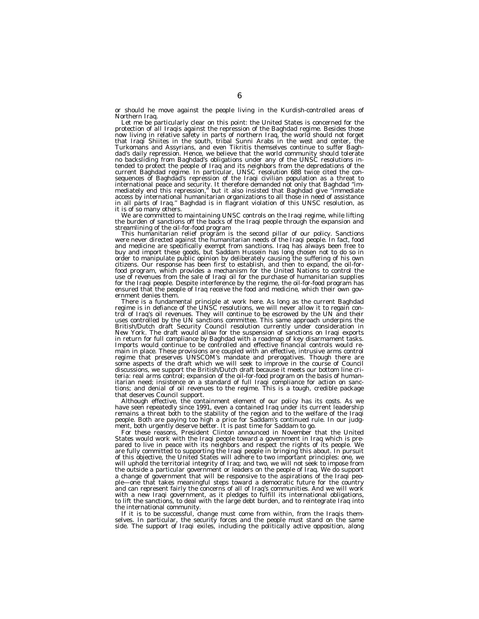or should he move against the people living in the Kurdish-controlled areas of Northern Iraq.<br>Let me be particularly clear on this point: the United States is concerned for the

protection of all Iraqis against the repression of the Baghdad regime. Besides those<br>now living in relative safety in parts of northern Iraq, the world should not forget that Iraqi Shiites in the south, tribal Sunni Arabs in the west and center, the Turkomans and Assyrians, and even Tikritis themselves continue to suffer Baghdad's daily repression. Hence, we believe that the world community should tolerate no backsliding from Baghdad's obligations under any of the UNSC resolutions intended to protect the people of Iraq and its neighbors from the depredations of the current Baghdad regime. In particular, UNSC resolution 688 twice cited the consequences of Baghdad's repression of the Iraqi civilian population as a threat to<br>international peace and security. It therefore demanded not only that Baghdad "im-<br>mediately end this repression," but it also insisted that in all parts of Iraq.'' Baghdad is in flagrant violation of this UNSC resolution, as

it is of so many others. We are committed to maintaining UNSC controls on the Iraqi regime, while lifting the burden of sanctions off the backs of the Iraqi people through the expansion and

streamlining of the oil-for-food program This humanitarian relief program is the second pillar of our policy. Sanctions were never directed against the humanitarian needs of the Iraqi people. In fact, food and medicine are specifically exempt from sanctions. Iraq has always been free to buy and import these goods, but Saddam Hussein has long chosen not to do so in<br>order to manipulate public opinion by deliberately causing the suffering of his own<br>citizens. Our response has been first to establish, and the use of revenues from the sale of Iraqi oil for the purchase of humanitarian supplies for the Iraqi people. Despite interference by the regime, the oil-for-food program has ensured that the people of Iraq receive the food and medicine, which their own government denies them.

There is a fundamental principle at work here. As long as the current Baghdad regime is in defiance of the UNSC resolutions, we will never allow it to regain control of Iraq's oil revenues. They will continue to be escrowed by the UN and their uses controlled by the UN sanctions committee. This same approach underpins the British/Dutch draft Security Council resolution currently under consideration in New York. The draft would allow for the suspension of sanctions on Iraqi exports in return for full compliance by Baghdad with a roadmap of key disarmament tasks. Imports would continue to be controlled and effective financial controls would remain in place. These provisions are coupled with an effective, intrusive arms control regime that preserves UNSCOM's mandate and prerogatives. Though there are some aspects of the draft which we will seek to improve in the course of Council discussions, we support the British/Dutch draft because it meets our bottom line criteria: real arms control; expansion of the oil-for-food program on the basis of humanitarian need; insistence on a standard of full Iraqi compliance for action on sanctions; and denial of oil revenues to the regime. This is a tough, credible package that deserves Council support.

Although effective, the containment element of our policy has its costs. As we have seen repeatedly since 1991, even a contained Iraq under its current leadership remains a threat both to the stability of the region and to the welfare of the Iraqi people. Both are paying too high a price for Saddam's continued rule. In our judgment, both urgently deserve better. It is past time for Saddam to go.

For these reasons, President Clinton announced in November that the United States would work with the Iraqi people toward a government in Iraq which is prepared to live in peace with its neighbors and respect the rights of its people. We are fully committed to supporting the Iraqi people in bringing this about. In pursuit of this objective, the United States will adhere to two important principles: one, we will uphold the territorial integrity of Iraq; and two, we will not seek to impose from the outside a particular government or leaders on the people of Iraq. We do support a change of government that will be responsive to the aspirations of the Iraqi people—one that takes meaningful steps toward a democratic future for the country and can represent fairly the concerns of all of Iraq's communities. And we will work with a new Iraqi government, as it pledges to fulfill its international obligations, to lift the sanctions, to deal with the large debt burden, and to reintegrate Iraq into the international community.

If it is to be successful, change must come from within, from the Iraqis themselves. In particular, the security forces and the people must stand on the same side. The support of Iraqi exiles, including the politically active opposition, along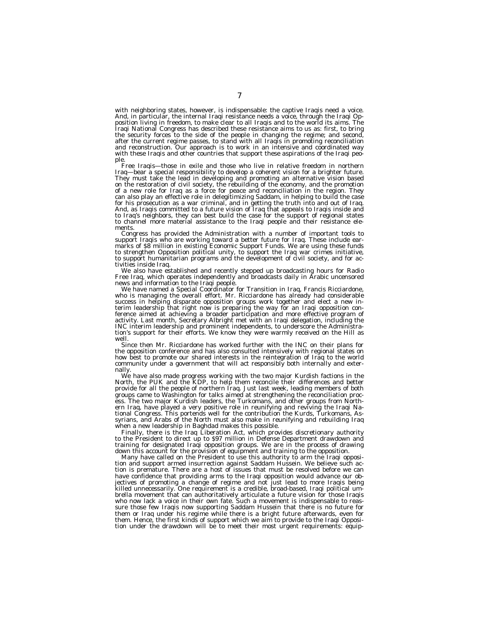with neighboring states, however, is indispensable: the captive Iraqis need a voice. And, in particular, the internal Iraqi resistance needs a voice, through the Iraqi Opposition living in freedom, to make clear to all Iraqis and to the world its aims. The Iraqi National Congress has described these resistance aims to us as: first, to bring the security forces to the side of the people in changing the regime; and second, after the current regime passes, to stand with all Iraqis in promoting reconciliation and reconstruction. Our approach is to work in an intensive and coordinated way with these Iraqis and other countries that support these aspirations of the Iraqi people.

Free Iraqis—those in exile and those who live in relative freedom in northern Iraq—bear a special responsibility to develop a coherent vision for a brighter future. They must take the lead in developing and promoting an alternative vision based on the restoration of civil society, the rebuilding of the economy, and the promotion of a new role for Iraq as a force for peace and reconciliation in the region. They can also play an effective role in delegitimizing Saddam, in helping to build the case for his prosecution as a war criminal, and in getting the truth into and out of Iraq.<br>And, as Iraqis committed to a future vision of Iraq that appeals to Iraqis inside and<br>to Iraq's neighbors, they can best build the case to channel more material assistance to the Iraqi people and their resistance elements.

Congress has provided the Administration with a number of important tools to support Iraqis who are working toward a better future for Iraq. These include earmarks of \$8 million in existing Economic Support Funds. We are using these funds to strengthen Opposition political unity, to support the Iraq war crimes initiative, to support humanitarian programs and the development of civil society, and for activities inside Iraq.

We also have established and recently stepped up broadcasting hours for Radio<br>Free Iraq, which operates independently and broadcasts daily in Arabic uncensored<br>news and information to the Iraqi people.<br>We have named a Spec

success in helping disparate opposition groups work together and elect a new in-terim leadership that right now is preparing the way for an Iraqi opposition conference aimed at achieving a broader participation and more effective program of activity. Last month, Secretary Albright met with an Iraqi delegation, including the INC interim leadership and prominent independents, to underscore the Administra-tion's support for their efforts. We know they were warmly received on the Hill as well.

Since then Mr. Ricciardone has worked further with the INC on their plans for the opposition conference and has also consulted intensively with regional states on how best to promote our shared interests in the reintegration of Iraq to the world community under a government that will act responsibly both internally and externally.

We have also made progress working with the two major Kurdish factions in the North, the PUK and the KDP, to help them reconcile their differences and better provide for all the people of northern Iraq. Just last week, leading members of both groups came to Washington for talks aimed at strengthening the reconciliation process. The two major Kurdish leaders, the Turkomans, and other groups from Northern Iraq, have played a very positive role in reunifying and reviving the Iraqi National Congress. This portends well for the contribution the Kurds, Turkomans, Assyrians, and Arabs of the North must also make in reunifying and rebuilding Iraq when a new leadership in Baghdad makes this possible.

Finally, there is the Iraq Liberation Act, which provides discretionary authority to the President to direct up to \$97 million in Defense Department drawdown and training for designated Iraqi opposition groups. We are in the process of drawing down this account for the provision of equipment and training to the opposition.

Many have called on the President to use this authority to arm the Iraqi opposition and support armed insurrection against Saddam Hussein. We believe such action is premature. There are a host of issues that must be resolved before we can have confidence that providing arms to the Iraqi opposition would advance our objectives of promoting a change of regime and not just lead to more Iraqis being killed unnecessarily. One requirement is a credible, broad-based, Iraqi political umbrella movement that can authoritatively articulate a future vision for those Iraqis who now lack a voice in their own fate. Such a movement is indispensable to reassure those few Iraqis now supporting Saddam Hussein that there is no future for them or Iraq under his regime while there is a bright future afterwards, even for them. Hence, the first kinds of support which we aim to provide to the Iraqi Opposi-tion under the drawdown will be to meet their most urgent requirements: equip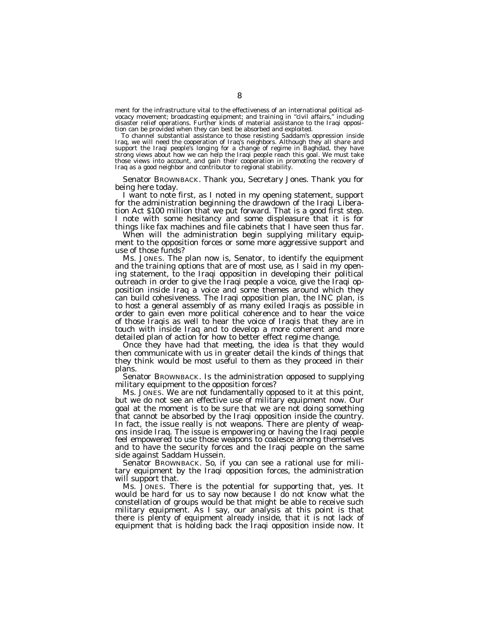ment for the infrastructure vital to the effectiveness of an international political advocacy movement; broadcasting equipment; and training in ''civil affairs,'' including disaster relief operations. Further kinds of material assistance to the Iraqi opposition can be provided when they can best be absorbed and exploited.

To channel substantial assistance to those resisting Saddam's oppression inside Iraq, we will need the cooperation of Iraq's neighbors. Although they all share and support the Iraqi people's longing for a change of regime in Baghdad, they have strong views about how we can help the Iraqi people reach this goal. We must take those views into account, and gain their cooperation in promoting the recovery of Iraq as a good neighbor and contributor to regional stability.

Senator BROWNBACK. Thank you, Secretary Jones. Thank you for being here today.

I want to note first, as I noted in my opening statement, support for the administration beginning the drawdown of the Iraqi Liberation Act \$100 million that we put forward. That is a good first step. I note with some hesitancy and some displeasure that it is for things like fax machines and file cabinets that I have seen thus far.

When will the administration begin supplying military equipment to the opposition forces or some more aggressive support and use of those funds?

Ms. JONES. The plan now is, Senator, to identify the equipment and the training options that are of most use, as I said in my opening statement, to the Iraqi opposition in developing their political outreach in order to give the Iraqi people a voice, give the Iraqi opposition inside Iraq a voice and some themes around which they can build cohesiveness. The Iraqi opposition plan, the INC plan, is to host a general assembly of as many exiled Iraqis as possible in order to gain even more political coherence and to hear the voice of those Iraqis as well to hear the voice of Iraqis that they are in touch with inside Iraq and to develop a more coherent and more detailed plan of action for how to better effect regime change.

Once they have had that meeting, the idea is that they would then communicate with us in greater detail the kinds of things that they think would be most useful to them as they proceed in their plans.

Senator BROWNBACK. Is the administration opposed to supplying military equipment to the opposition forces?

Ms. JONES. We are not fundamentally opposed to it at this point, but we do not see an effective use of military equipment now. Our goal at the moment is to be sure that we are not doing something that cannot be absorbed by the Iraqi opposition inside the country. In fact, the issue really is not weapons. There are plenty of weapons inside Iraq. The issue is empowering or having the Iraqi people feel empowered to use those weapons to coalesce among themselves and to have the security forces and the Iraqi people on the same side against Saddam Hussein.

Senator BROWNBACK. So, if you can see a rational use for military equipment by the Iraqi opposition forces, the administration will support that.

Ms. JONES. There is the potential for supporting that, yes. It would be hard for us to say now because I do not know what the constellation of groups would be that might be able to receive such military equipment. As I say, our analysis at this point is that there is plenty of equipment already inside, that it is not lack of equipment that is holding back the Iraqi opposition inside now. It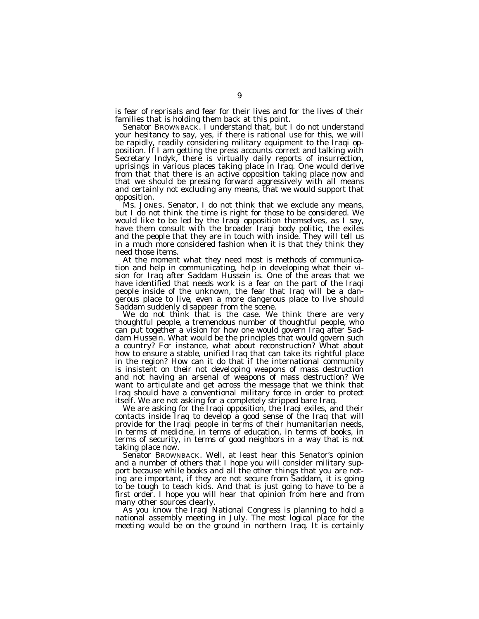is fear of reprisals and fear for their lives and for the lives of their families that is holding them back at this point.

Senator BROWNBACK. I understand that, but I do not understand your hesitancy to say, yes, if there is rational use for this, we will be rapidly, readily considering military equipment to the Iraqi opposition. If I am getting the press accounts correct and talking with Secretary Indyk, there is virtually daily reports of insurrection, uprisings in various places taking place in Iraq. One would derive from that that there is an active opposition taking place now and that we should be pressing forward aggressively with all means and certainly not excluding any means, that we would support that opposition.

Ms. JONES. Senator, I do not think that we exclude any means, but I do not think the time is right for those to be considered. We would like to be led by the Iraqi opposition themselves, as I say, have them consult with the broader Iraqi body politic, the exiles and the people that they are in touch with inside. They will tell us in a much more considered fashion when it is that they think they need those items.

At the moment what they need most is methods of communication and help in communicating, help in developing what their vision for Iraq after Saddam Hussein is. One of the areas that we have identified that needs work is a fear on the part of the Iraqi people inside of the unknown, the fear that Iraq will be a dangerous place to live, even a more dangerous place to live should Saddam suddenly disappear from the scene.

We do not think that is the case. We think there are very thoughtful people, a tremendous number of thoughtful people, who can put together a vision for how one would govern Iraq after Saddam Hussein. What would be the principles that would govern such a country? For instance, what about reconstruction? What about how to ensure a stable, unified Iraq that can take its rightful place in the region? How can it do that if the international community is insistent on their not developing weapons of mass destruction and not having an arsenal of weapons of mass destruction? We want to articulate and get across the message that we think that Iraq should have a conventional military force in order to protect itself. We are not asking for a completely stripped bare Iraq.

We are asking for the Iraqi opposition, the Iraqi exiles, and their contacts inside Iraq to develop a good sense of the Iraq that will provide for the Iraqi people in terms of their humanitarian needs, in terms of medicine, in terms of education, in terms of books, in terms of security, in terms of good neighbors in a way that is not taking place now.

Senator BROWNBACK. Well, at least hear this Senator's opinion and a number of others that I hope you will consider military support because while books and all the other things that you are noting are important, if they are not secure from Saddam, it is going to be tough to teach kids. And that is just going to have to be a first order. I hope you will hear that opinion from here and from many other sources clearly.

As you know the Iraqi National Congress is planning to hold a national assembly meeting in July. The most logical place for the meeting would be on the ground in northern Iraq. It is certainly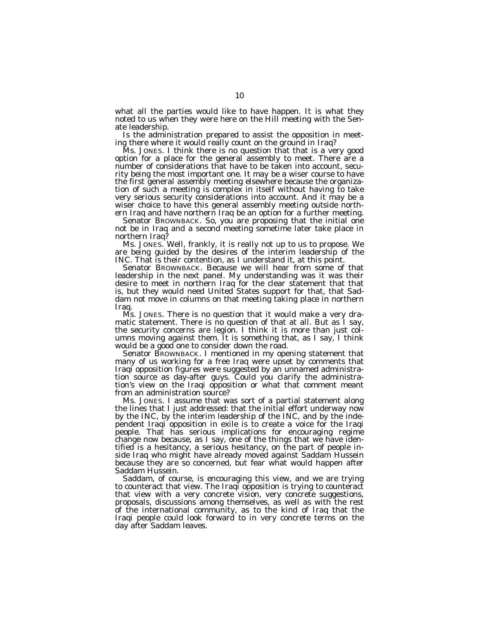what all the parties would like to have happen. It is what they noted to us when they were here on the Hill meeting with the Senate leadership.

Is the administration prepared to assist the opposition in meeting there where it would really count on the ground in Iraq?

Ms. JONES. I think there is no question that that is a very good option for a place for the general assembly to meet. There are a number of considerations that have to be taken into account, security being the most important one. It may be a wiser course to have the first general assembly meeting elsewhere because the organization of such a meeting is complex in itself without having to take very serious security considerations into account. And it may be a wiser choice to have this general assembly meeting outside northern Iraq and have northern Iraq be an option for a further meeting.

Senator BROWNBACK. So, you are proposing that the initial one not be in Iraq and a second meeting sometime later take place in northern Iraq?

Ms. JONES. Well, frankly, it is really not up to us to propose. We are being guided by the desires of the interim leadership of the INC. That is their contention, as I understand it, at this point.

Senator BROWNBACK. Because we will hear from some of that leadership in the next panel. My understanding was it was their desire to meet in northern Iraq for the clear statement that that is, but they would need United States support for that, that Saddam not move in columns on that meeting taking place in northern Iraq.

Ms. JONES. There is no question that it would make a very dramatic statement. There is no question of that at all. But as I say, the security concerns are legion. I think it is more than just columns moving against them. It is something that, as I say, I think would be a good one to consider down the road.

Senator BROWNBACK. I mentioned in my opening statement that many of us working for a free Iraq were upset by comments that Iraqi opposition figures were suggested by an unnamed administration source as day-after guys. Could you clarify the administration's view on the Iraqi opposition or what that comment meant from an administration source?

Ms. JONES. I assume that was sort of a partial statement along the lines that I just addressed: that the initial effort underway now by the INC, by the interim leadership of the INC, and by the independent Iraqi opposition in exile is to create a voice for the Iraqi people. That has serious implications for encouraging regime change now because, as I say, one of the things that we have identified is a hesitancy, a serious hesitancy, on the part of people inside Iraq who might have already moved against Saddam Hussein because they are so concerned, but fear what would happen after Saddam Hussein.

Saddam, of course, is encouraging this view, and we are trying to counteract that view. The Iraqi opposition is trying to counteract that view with a very concrete vision, very concrete suggestions, proposals, discussions among themselves, as well as with the rest of the international community, as to the kind of Iraq that the Iraqi people could look forward to in very concrete terms on the day after Saddam leaves.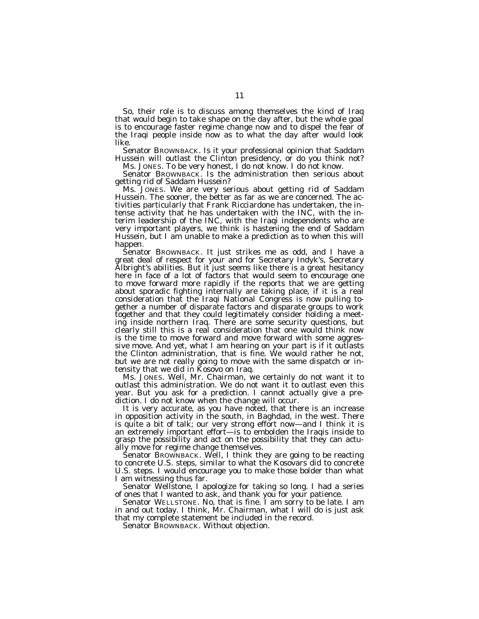So, their role is to discuss among themselves the kind of Iraq that would begin to take shape on the day after, but the whole goal is to encourage faster regime change now and to dispel the fear of the Iraqi people inside now as to what the day after would look like.

Senator BROWNBACK. Is it your professional opinion that Saddam Hussein will outlast the Clinton presidency, or do you think not?

Ms. JONES. To be very honest, I do not know. I do not know. Senator BROWNBACK. Is the administration then serious about getting rid of Saddam Hussein?

Ms. JONES. We are very serious about getting rid of Saddam Hussein. The sooner, the better as far as we are concerned. The activities particularly that Frank Ricciardone has undertaken, the intense activity that he has undertaken with the INC, with the interim leadership of the INC, with the Iraqi independents who are very important players, we think is hastening the end of Saddam Hussein, but I am unable to make a prediction as to when this will happen.

Senator BROWNBACK. It just strikes me as odd, and I have a great deal of respect for your and for Secretary Indyk's, Secretary Albright's abilities. But it just seems like there is a great hesitancy here in face of a lot of factors that would seem to encourage one to move forward more rapidly if the reports that we are getting about sporadic fighting internally are taking place, if it is a real consideration that the Iraqi National Congress is now pulling together a number of disparate factors and disparate groups to work together and that they could legitimately consider holding a meeting inside northern Iraq. There are some security questions, but clearly still this is a real consideration that one would think now is the time to move forward and move forward with some aggressive move. And yet, what I am hearing on your part is if it outlasts the Clinton administration, that is fine. We would rather he not, but we are not really going to move with the same dispatch or intensity that we did in Kosovo on Iraq.

Ms. JONES. Well, Mr. Chairman, we certainly do not want it to outlast this administration. We do not want it to outlast even this year. But you ask for a prediction. I cannot actually give a prediction. I do not know when the change will occur.

It is very accurate, as you have noted, that there is an increase in opposition activity in the south, in Baghdad, in the west. There is quite a bit of talk; our very strong effort now—and I think it is an extremely important effort—is to embolden the Iraqis inside to grasp the possibility and act on the possibility that they can actually move for regime change themselves.

Senator BROWNBACK. Well, I think they are going to be reacting to concrete U.S. steps, similar to what the Kosovars did to concrete U.S. steps. I would encourage you to make those bolder than what I am witnessing thus far.

Senator Wellstone, I apologize for taking so long. I had a series of ones that I wanted to ask, and thank you for your patience.

Senator WELLSTONE. No, that is fine. I am sorry to be late. I am in and out today. I think, Mr. Chairman, what I will do is just ask that my complete statement be included in the record.

Senator BROWNBACK. Without objection.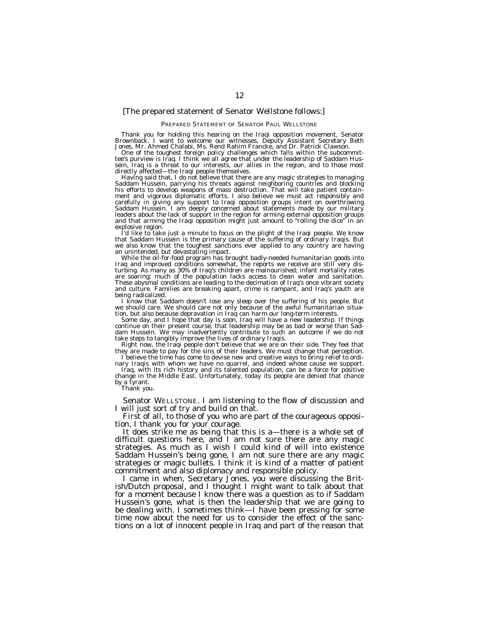## [The prepared statement of Senator Wellstone follows:]

#### PREPARED STATEMENT OF SENATOR PAUL WELLSTONE

Thank you for holding this hearing on the Iraqi opposition movement, Senator<br>Brownback. I want to welcome our witnesses, Deputy Assistant Secretary Beth<br>Jones, Mr. Ahmed Chalabi, Ms. Rend Rahim Francke, and Dr. Patrick Cla

One of the toughest foreign policy challenges which falls within the subcommit- tee's purview is Iraq. I think we all agree that under the leadership of Saddam Hussein, Iraq is a threat to our interests, our allies in the region, and to those most directly affected—the Iraqi people themselves.

Having said that, I do not believe that there are any magic strategies to managing Saddam Hussein, parrying his threats against neighboring countries and blocking his efforts to develop weapons of mass destruction. That will take patient contain-ment and vigorous diplomatic efforts. I also believe we must act responsibly and carefully in giving any support to Iraqi opposition groups intent on overthrowing Saddam Hussein. I am deeply concerned about statements made by our military leaders about the lack of support in the region for arming external opposition groups and that arming the Iraqi opposition might just amount to ''rolling the dice'' in an

explosive region.<br>I'd like to take just a minute to focus on the plight of the Iraqi people. We know<br>that Saddam Hussein is the primary cause of the suffering of ordinary Iraqis. But<br>we also know that the toughest sanction

an unintended, but devastating impact.<br>While the oil-for-food program has brought badly-needed humanitarian goods into Iraq and improved conditions somewhat, the reports we receive are still very disturbing. As many as 30% of Iraq's children are malnourished; infant mortality rates are soaring; much of the population lacks access to clean water and sanitation. These abysmal conditions are leading to the decimation of Iraq's once vibrant society and culture. Families are breaking apart, crime is rampant, and Iraq's youth are being radicalized.

I know that Saddam doesn't lose any sleep over the suffering of his people. But we should care. We should care not only because of the awful humanitarian situation, but also because depravation in Iraq can harm our long-term interests.

Some day, and I hope that day is soon, Iraq will have a new leadership. If things continue on their present course, that leadership may be as bad or worse than Saddam Hussein. We may inadvertently contribute to such an outcome if we do not take steps to tangibly improve the lives of ordinary Iraqis.

Right now, the Iraqi people don't believe that we are on their side. They feel that they are made to pay for the sins of their leaders. We must change that perception.

I believe the time has come to devise new and creative ways to bring relief to ordinary Iraqis with whom we have no quarrel, and indeed whose cause we support.

Iraq, with its rich history and its talented population, can be a force for positive change in the Middle East. Unfortunately, today its people are denied that chance by a tyrant.

Thank you.

Senator WELLSTONE. I am listening to the flow of discussion and I will just sort of try and build on that.

First of all, to those of you who are part of the courageous opposition, I thank you for your courage.

It does strike me as being that this is a—there is a whole set of difficult questions here, and I am not sure there are any magic strategies. As much as I wish I could kind of will into existence Saddam Hussein's being gone, I am not sure there are any magic strategies or magic bullets. I think it is kind of a matter of patient commitment and also diplomacy and responsible policy.

I came in when, Secretary Jones, you were discussing the British/Dutch proposal, and I thought I might want to talk about that for a moment because I know there was a question as to if Saddam Hussein's gone, what is then the leadership that we are going to be dealing with. I sometimes think—I have been pressing for some time now about the need for us to consider the effect of the sanctions on a lot of innocent people in Iraq and part of the reason that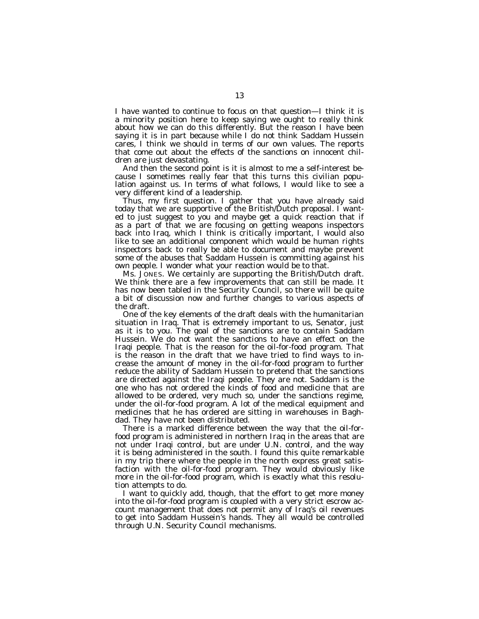I have wanted to continue to focus on that question—I think it is a minority position here to keep saying we ought to really think about how we can do this differently. But the reason I have been saying it is in part because while I do not think Saddam Hussein cares, I think we should in terms of our own values. The reports that come out about the effects of the sanctions on innocent children are just devastating.

And then the second point is it is almost to me a self-interest because I sometimes really fear that this turns this civilian population against us. In terms of what follows, I would like to see a very different kind of a leadership.

Thus, my first question. I gather that you have already said today that we are supportive of the British/Dutch proposal. I wanted to just suggest to you and maybe get a quick reaction that if as a part of that we are focusing on getting weapons inspectors back into Iraq, which I think is critically important, I would also like to see an additional component which would be human rights inspectors back to really be able to document and maybe prevent some of the abuses that Saddam Hussein is committing against his own people. I wonder what your reaction would be to that.

Ms. JONES. We certainly are supporting the British/Dutch draft. We think there are a few improvements that can still be made. It has now been tabled in the Security Council, so there will be quite a bit of discussion now and further changes to various aspects of the draft.

One of the key elements of the draft deals with the humanitarian situation in Iraq. That is extremely important to us, Senator, just as it is to you. The goal of the sanctions are to contain Saddam Hussein. We do not want the sanctions to have an effect on the Iraqi people. That is the reason for the oil-for-food program. That is the reason in the draft that we have tried to find ways to increase the amount of money in the oil-for-food program to further reduce the ability of Saddam Hussein to pretend that the sanctions are directed against the Iraqi people. They are not. Saddam is the one who has not ordered the kinds of food and medicine that are allowed to be ordered, very much so, under the sanctions regime, under the oil-for-food program. A lot of the medical equipment and medicines that he has ordered are sitting in warehouses in Baghdad. They have not been distributed.

There is a marked difference between the way that the oil-forfood program is administered in northern Iraq in the areas that are not under Iraqi control, but are under U.N. control, and the way it is being administered in the south. I found this quite remarkable in my trip there where the people in the north express great satisfaction with the oil-for-food program. They would obviously like more in the oil-for-food program, which is exactly what this resolution attempts to do.

I want to quickly add, though, that the effort to get more money into the oil-for-food program is coupled with a very strict escrow account management that does not permit any of Iraq's oil revenues to get into Saddam Hussein's hands. They all would be controlled through U.N. Security Council mechanisms.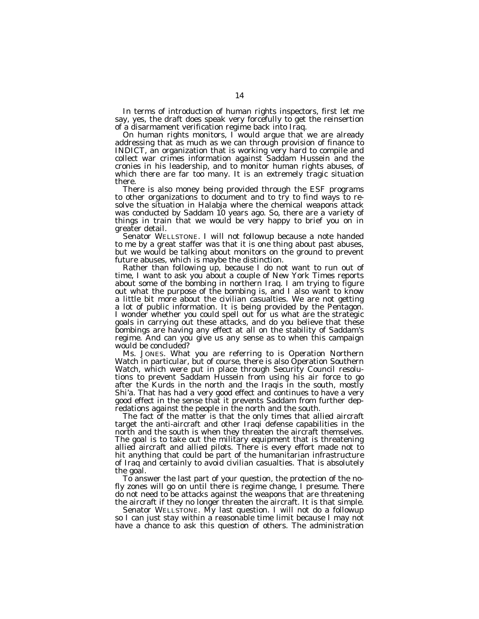In terms of introduction of human rights inspectors, first let me say, yes, the draft does speak very forcefully to get the reinsertion of a disarmament verification regime back into Iraq.

On human rights monitors, I would argue that we are already addressing that as much as we can through provision of finance to INDICT, an organization that is working very hard to compile and collect war crimes information against Saddam Hussein and the cronies in his leadership, and to monitor human rights abuses, of which there are far too many. It is an extremely tragic situation there.

There is also money being provided through the ESF programs to other organizations to document and to try to find ways to resolve the situation in Halabja where the chemical weapons attack was conducted by Saddam 10 years ago. So, there are a variety of things in train that we would be very happy to brief you on in greater detail.

Senator WELLSTONE. I will not followup because a note handed to me by a great staffer was that it is one thing about past abuses, but we would be talking about monitors on the ground to prevent future abuses, which is maybe the distinction.

Rather than following up, because I do not want to run out of time, I want to ask you about a couple of New York Times reports about some of the bombing in northern Iraq. I am trying to figure out what the purpose of the bombing is, and I also want to know a little bit more about the civilian casualties. We are not getting a lot of public information. It is being provided by the Pentagon. I wonder whether you could spell out for us what are the strategic goals in carrying out these attacks, and do you believe that these bombings are having any effect at all on the stability of Saddam's regime. And can you give us any sense as to when this campaign would be concluded?

Ms. JONES. What you are referring to is Operation Northern Watch in particular, but of course, there is also Operation Southern Watch, which were put in place through Security Council resolutions to prevent Saddam Hussein from using his air force to go after the Kurds in the north and the Iraqis in the south, mostly Shi'a. That has had a very good effect and continues to have a very good effect in the sense that it prevents Saddam from further depredations against the people in the north and the south.

The fact of the matter is that the only times that allied aircraft target the anti-aircraft and other Iraqi defense capabilities in the north and the south is when they threaten the aircraft themselves. The goal is to take out the military equipment that is threatening allied aircraft and allied pilots. There is every effort made not to hit anything that could be part of the humanitarian infrastructure of Iraq and certainly to avoid civilian casualties. That is absolutely the goal.

To answer the last part of your question, the protection of the nofly zones will go on until there is regime change, I presume. There do not need to be attacks against the weapons that are threatening the aircraft if they no longer threaten the aircraft. It is that simple.

Senator WELLSTONE. My last question. I will not do a followup so I can just stay within a reasonable time limit because I may not have a chance to ask this question of others. The administration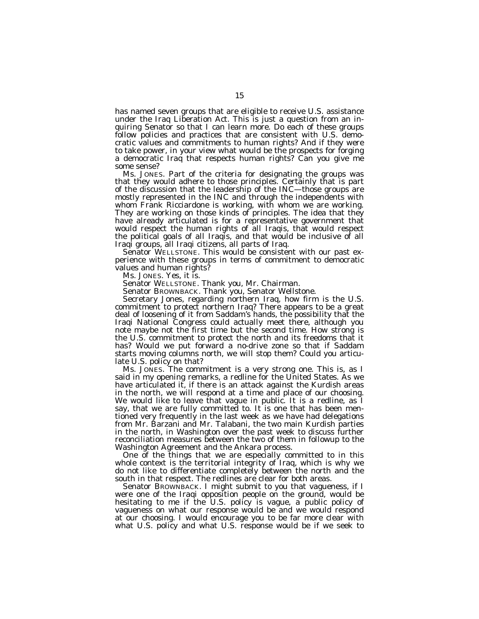has named seven groups that are eligible to receive U.S. assistance under the Iraq Liberation Act. This is just a question from an inquiring Senator so that I can learn more. Do each of these groups follow policies and practices that are consistent with U.S. democratic values and commitments to human rights? And if they were to take power, in your view what would be the prospects for forging a democratic Iraq that respects human rights? Can you give me some sense?

Ms. JONES. Part of the criteria for designating the groups was that they would adhere to those principles. Certainly that is part of the discussion that the leadership of the INC—those groups are mostly represented in the INC and through the independents with whom Frank Ricciardone is working, with whom we are working. They are working on those kinds of principles. The idea that they have already articulated is for a representative government that would respect the human rights of all Iraqis, that would respect the political goals of all Iraqis, and that would be inclusive of all Iraqi groups, all Iraqi citizens, all parts of Iraq.

Senator WELLSTONE. This would be consistent with our past experience with these groups in terms of commitment to democratic values and human rights?

Ms. JONES. Yes, it is.

Senator WELLSTONE. Thank you, Mr. Chairman.

Senator BROWNBACK. Thank you, Senator Wellstone.

Secretary Jones, regarding northern Iraq, how firm is the U.S. commitment to protect northern Iraq? There appears to be a great deal of loosening of it from Saddam's hands, the possibility that the Iraqi National Congress could actually meet there, although you note maybe not the first time but the second time. How strong is the U.S. commitment to protect the north and its freedoms that it has? Would we put forward a no-drive zone so that if Saddam starts moving columns north, we will stop them? Could you articulate U.S. policy on that?

Ms. JONES. The commitment is a very strong one. This is, as I said in my opening remarks, a redline for the United States. As we have articulated it, if there is an attack against the Kurdish areas in the north, we will respond at a time and place of our choosing. We would like to leave that vague in public. It is a redline, as I say, that we are fully committed to. It is one that has been mentioned very frequently in the last week as we have had delegations from Mr. Barzani and Mr. Talabani, the two main Kurdish parties in the north, in Washington over the past week to discuss further reconciliation measures between the two of them in followup to the Washington Agreement and the Ankara process.

One of the things that we are especially committed to in this whole context is the territorial integrity of Iraq, which is why we do not like to differentiate completely between the north and the south in that respect. The redlines are clear for both areas.

Senator BROWNBACK. I might submit to you that vagueness, if I were one of the Iraqi opposition people on the ground, would be hesitating to me if the U.S. policy is vague, a public policy of vagueness on what our response would be and we would respond at our choosing. I would encourage you to be far more clear with what U.S. policy and what U.S. response would be if we seek to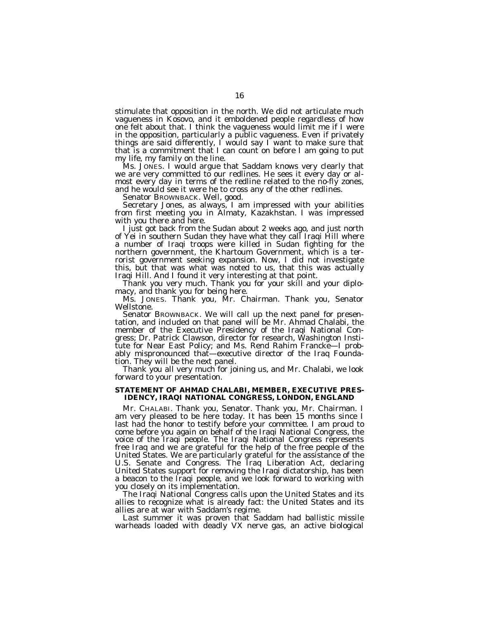stimulate that opposition in the north. We did not articulate much vagueness in Kosovo, and it emboldened people regardless of how one felt about that. I think the vagueness would limit me if I were in the opposition, particularly a public vagueness. Even if privately things are said differently, I would say I want to make sure that that is a commitment that I can count on before I am going to put my life, my family on the line.

Ms. JONES. I would argue that Saddam knows very clearly that we are very committed to our redlines. He sees it every day or almost every day in terms of the redline related to the no-fly zones, and he would see it were he to cross any of the other redlines.

Senator BROWNBACK. Well, good.

Secretary Jones, as always, I am impressed with your abilities from first meeting you in Almaty, Kazakhstan. I was impressed with you there and here.

I just got back from the Sudan about 2 weeks ago, and just north of Yei in southern Sudan they have what they call Iraqi Hill where a number of Iraqi troops were killed in Sudan fighting for the northern government, the Khartoum Government, which is a terrorist government seeking expansion. Now, I did not investigate this, but that was what was noted to us, that this was actually Iraqi Hill. And I found it very interesting at that point.

Thank you very much. Thank you for your skill and your diplomacy, and thank you for being here.

Ms. JONES. Thank you, Mr. Chairman. Thank you, Senator Wellstone.

Senator BROWNBACK. We will call up the next panel for presentation, and included on that panel will be Mr. Ahmad Chalabi, the member of the Executive Presidency of the Iraqi National Congress; Dr. Patrick Clawson, director for research, Washington Institute for Near East Policy; and Ms. Rend Rahim Francke—I probably mispronounced that—executive director of the Iraq Foundation. They will be the next panel.

Thank you all very much for joining us, and Mr. Chalabi, we look forward to your presentation.

## **STATEMENT OF AHMAD CHALABI, MEMBER, EXECUTIVE PRES-IDENCY, IRAQI NATIONAL CONGRESS, LONDON, ENGLAND**

Mr. CHALABI. Thank you, Senator. Thank you, Mr. Chairman. I am very pleased to be here today. It has been 15 months since I last had the honor to testify before your committee. I am proud to come before you again on behalf of the Iraqi National Congress, the voice of the Iraqi people. The Iraqi National Congress represents free Iraq and we are grateful for the help of the free people of the United States. We are particularly grateful for the assistance of the U.S. Senate and Congress. The Iraq Liberation Act, declaring United States support for removing the Iraqi dictatorship, has been a beacon to the Iraqi people, and we look forward to working with you closely on its implementation.

The Iraqi National Congress calls upon the United States and its allies to recognize what is already fact: the United States and its allies are at war with Saddam's regime.

Last summer it was proven that Saddam had ballistic missile warheads loaded with deadly VX nerve gas, an active biological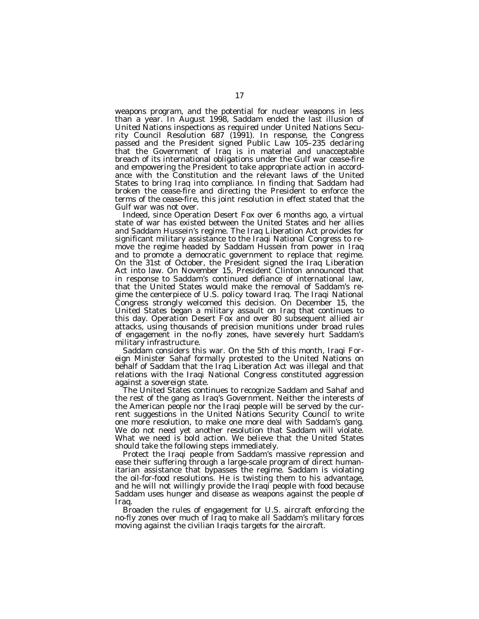weapons program, and the potential for nuclear weapons in less than a year. In August 1998, Saddam ended the last illusion of United Nations inspections as required under United Nations Security Council Resolution 687 (1991). In response, the Congress passed and the President signed Public Law 105–235 declaring that the Government of Iraq is in material and unacceptable breach of its international obligations under the Gulf war cease-fire and empowering the President to take appropriate action in accordance with the Constitution and the relevant laws of the United States to bring Iraq into compliance. In finding that Saddam had broken the cease-fire and directing the President to enforce the terms of the cease-fire, this joint resolution in effect stated that the Gulf war was not over.

Indeed, since Operation Desert Fox over 6 months ago, a virtual state of war has existed between the United States and her allies and Saddam Hussein's regime. The Iraq Liberation Act provides for significant military assistance to the Iraqi National Congress to remove the regime headed by Saddam Hussein from power in Iraq and to promote a democratic government to replace that regime. On the 31st of October, the President signed the Iraq Liberation Act into law. On November 15, President Clinton announced that in response to Saddam's continued defiance of international law, that the United States would make the removal of Saddam's regime the centerpiece of U.S. policy toward Iraq. The Iraqi National Congress strongly welcomed this decision. On December 15, the United States began a military assault on Iraq that continues to this day. Operation Desert Fox and over 80 subsequent allied air attacks, using thousands of precision munitions under broad rules of engagement in the no-fly zones, have severely hurt Saddam's military infrastructure.

Saddam considers this war. On the 5th of this month, Iraqi Foreign Minister Sahaf formally protested to the United Nations on behalf of Saddam that the Iraq Liberation Act was illegal and that relations with the Iraqi National Congress constituted aggression against a sovereign state.

The United States continues to recognize Saddam and Sahaf and the rest of the gang as Iraq's Government. Neither the interests of the American people nor the Iraqi people will be served by the current suggestions in the United Nations Security Council to write one more resolution, to make one more deal with Saddam's gang. We do not need yet another resolution that Saddam will violate. What we need is bold action. We believe that the United States should take the following steps immediately.

Protect the Iraqi people from Saddam's massive repression and ease their suffering through a large-scale program of direct humanitarian assistance that bypasses the regime. Saddam is violating the oil-for-food resolutions. He is twisting them to his advantage, and he will not willingly provide the Iraqi people with food because Saddam uses hunger and disease as weapons against the people of Iraq.

Broaden the rules of engagement for U.S. aircraft enforcing the no-fly zones over much of Iraq to make all Saddam's military forces moving against the civilian Iraqis targets for the aircraft.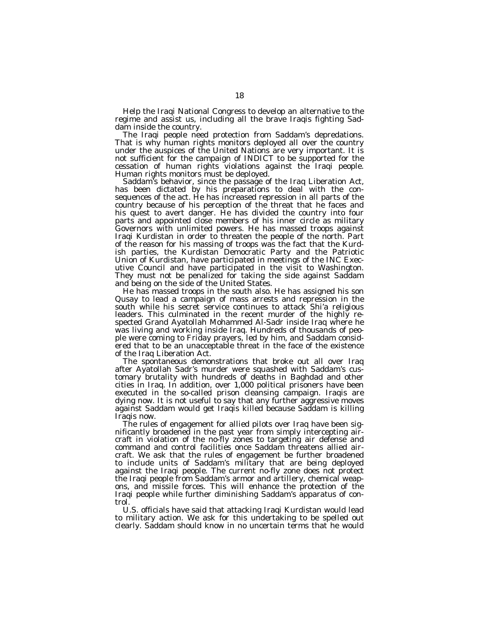Help the Iraqi National Congress to develop an alternative to the regime and assist us, including all the brave Iraqis fighting Saddam inside the country.

The Iraqi people need protection from Saddam's depredations. That is why human rights monitors deployed all over the country under the auspices of the United Nations are very important. It is not sufficient for the campaign of INDICT to be supported for the cessation of human rights violations against the Iraqi people. Human rights monitors must be deployed.

Saddam's behavior, since the passage of the Iraq Liberation Act, has been dictated by his preparations to deal with the consequences of the act. He has increased repression in all parts of the country because of his perception of the threat that he faces and his quest to avert danger. He has divided the country into four parts and appointed close members of his inner circle as military Governors with unlimited powers. He has massed troops against Iraqi Kurdistan in order to threaten the people of the north. Part of the reason for his massing of troops was the fact that the Kurdish parties, the Kurdistan Democratic Party and the Patriotic Union of Kurdistan, have participated in meetings of the INC Executive Council and have participated in the visit to Washington. They must not be penalized for taking the side against Saddam and being on the side of the United States.

He has massed troops in the south also. He has assigned his son Qusay to lead a campaign of mass arrests and repression in the south while his secret service continues to attack Shi'a religious leaders. This culminated in the recent murder of the highly respected Grand Ayatollah Mohammed Al-Sadr inside Iraq where he was living and working inside Iraq. Hundreds of thousands of people were coming to Friday prayers, led by him, and Saddam considered that to be an unacceptable threat in the face of the existence of the Iraq Liberation Act.

The spontaneous demonstrations that broke out all over Iraq after Ayatollah Sadr's murder were squashed with Saddam's customary brutality with hundreds of deaths in Baghdad and other cities in Iraq. In addition, over 1,000 political prisoners have been executed in the so-called prison cleansing campaign. Iraqis are dying now. It is not useful to say that any further aggressive moves against Saddam would get Iraqis killed because Saddam is killing Iraqis now.

The rules of engagement for allied pilots over Iraq have been significantly broadened in the past year from simply intercepting aircraft in violation of the no-fly zones to targeting air defense and command and control facilities once Saddam threatens allied aircraft. We ask that the rules of engagement be further broadened to include units of Saddam's military that are being deployed against the Iraqi people. The current no-fly zone does not protect the Iraqi people from Saddam's armor and artillery, chemical weapons, and missile forces. This will enhance the protection of the Iraqi people while further diminishing Saddam's apparatus of control.

U.S. officials have said that attacking Iraqi Kurdistan would lead to military action. We ask for this undertaking to be spelled out clearly. Saddam should know in no uncertain terms that he would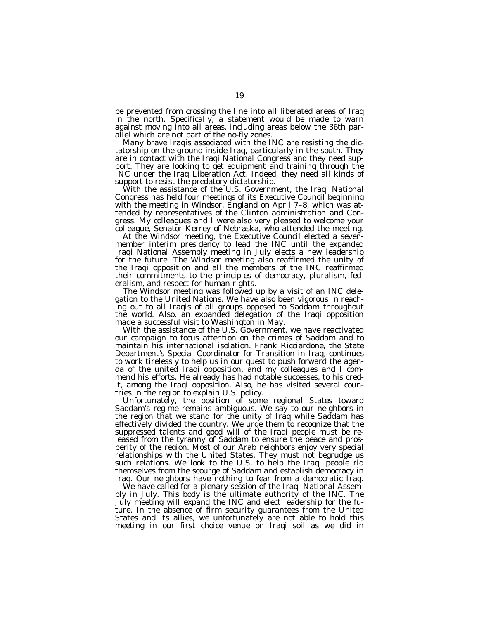be prevented from crossing the line into all liberated areas of Iraq in the north. Specifically, a statement would be made to warn against moving into all areas, including areas below the 36th parallel which are not part of the no-fly zones.

Many brave Iraqis associated with the INC are resisting the dictatorship on the ground inside Iraq, particularly in the south. They are in contact with the Iraqi National Congress and they need support. They are looking to get equipment and training through the INC under the Iraq Liberation Act. Indeed, they need all kinds of support to resist the predatory dictatorship.

With the assistance of the U.S. Government, the Iraqi National Congress has held four meetings of its Executive Council beginning with the meeting in Windsor, England on April 7–8, which was attended by representatives of the Clinton administration and Congress. My colleagues and I were also very pleased to welcome your colleague, Senator Kerrey of Nebraska, who attended the meeting.

At the Windsor meeting, the Executive Council elected a sevenmember interim presidency to lead the INC until the expanded Iraqi National Assembly meeting in July elects a new leadership for the future. The Windsor meeting also reaffirmed the unity of the Iraqi opposition and all the members of the INC reaffirmed their commitments to the principles of democracy, pluralism, federalism, and respect for human rights.

The Windsor meeting was followed up by a visit of an INC delegation to the United Nations. We have also been vigorous in reaching out to all Iraqis of all groups opposed to Saddam throughout the world. Also, an expanded delegation of the Iraqi opposition made a successful visit to Washington in May.

With the assistance of the U.S. Government, we have reactivated our campaign to focus attention on the crimes of Saddam and to maintain his international isolation. Frank Ricciardone, the State Department's Special Coordinator for Transition in Iraq, continues to work tirelessly to help us in our quest to push forward the agenda of the united Iraqi opposition, and my colleagues and I commend his efforts. He already has had notable successes, to his credit, among the Iraqi opposition. Also, he has visited several countries in the region to explain U.S. policy.

Unfortunately, the position of some regional States toward Saddam's regime remains ambiguous. We say to our neighbors in the region that we stand for the unity of Iraq while Saddam has effectively divided the country. We urge them to recognize that the suppressed talents and good will of the Iraqi people must be released from the tyranny of Saddam to ensure the peace and prosperity of the region. Most of our Arab neighbors enjoy very special relationships with the United States. They must not begrudge us such relations. We look to the U.S. to help the Iraqi people rid themselves from the scourge of Saddam and establish democracy in Iraq. Our neighbors have nothing to fear from a democratic Iraq.

We have called for a plenary session of the Iraqi National Assembly in July. This body is the ultimate authority of the INC. The July meeting will expand the INC and elect leadership for the future. In the absence of firm security guarantees from the United States and its allies, we unfortunately are not able to hold this meeting in our first choice venue on Iraqi soil as we did in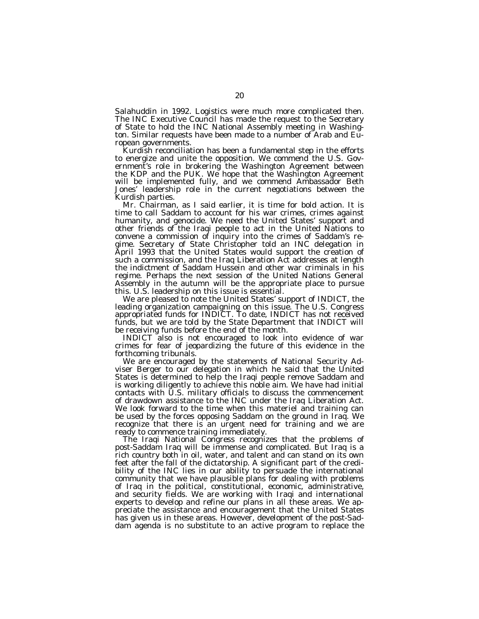Salahuddin in 1992. Logistics were much more complicated then. The INC Executive Council has made the request to the Secretary of State to hold the INC National Assembly meeting in Washington. Similar requests have been made to a number of Arab and European governments.

Kurdish reconciliation has been a fundamental step in the efforts to energize and unite the opposition. We commend the U.S. Government's role in brokering the Washington Agreement between the KDP and the PUK. We hope that the Washington Agreement will be implemented fully, and we commend Ambassador Beth Jones' leadership role in the current negotiations between the Kurdish parties.

Mr. Chairman, as I said earlier, it is time for bold action. It is time to call Saddam to account for his war crimes, crimes against humanity, and genocide. We need the United States' support and other friends of the Iraqi people to act in the United Nations to convene a commission of inquiry into the crimes of Saddam's regime. Secretary of State Christopher told an INC delegation in April 1993 that the United States would support the creation of such a commission, and the Iraq Liberation Act addresses at length the indictment of Saddam Hussein and other war criminals in his regime. Perhaps the next session of the United Nations General Assembly in the autumn will be the appropriate place to pursue this. U.S. leadership on this issue is essential.

We are pleased to note the United States' support of INDICT, the leading organization campaigning on this issue. The U.S. Congress appropriated funds for INDICT. To date, INDICT has not received funds, but we are told by the State Department that INDICT will be receiving funds before the end of the month.

INDICT also is not encouraged to look into evidence of war crimes for fear of jeopardizing the future of this evidence in the forthcoming tribunals.

We are encouraged by the statements of National Security Adviser Berger to our delegation in which he said that the United States is determined to help the Iraqi people remove Saddam and is working diligently to achieve this noble aim. We have had initial contacts with U.S. military officials to discuss the commencement of drawdown assistance to the INC under the Iraq Liberation Act. We look forward to the time when this materiel and training can be used by the forces opposing Saddam on the ground in Iraq. We recognize that there is an urgent need for training and we are ready to commence training immediately.

The Iraqi National Congress recognizes that the problems of post-Saddam Iraq will be immense and complicated. But Iraq is a rich country both in oil, water, and talent and can stand on its own feet after the fall of the dictatorship. A significant part of the credibility of the INC lies in our ability to persuade the international community that we have plausible plans for dealing with problems of Iraq in the political, constitutional, economic, administrative, and security fields. We are working with Iraqi and international experts to develop and refine our plans in all these areas. We appreciate the assistance and encouragement that the United States has given us in these areas. However, development of the post-Saddam agenda is no substitute to an active program to replace the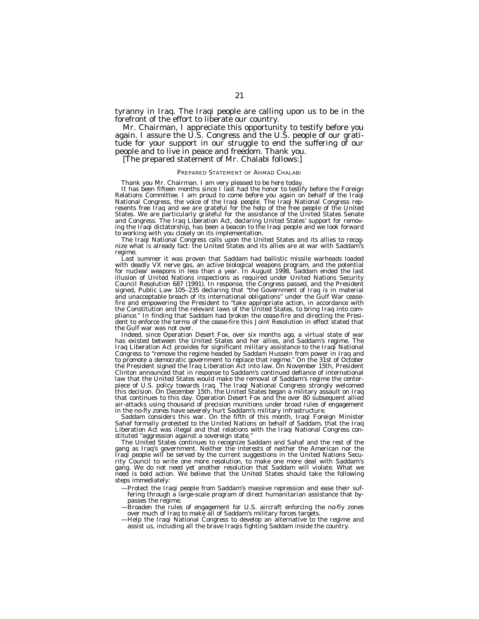tyranny in Iraq. The Iraqi people are calling upon us to be in the forefront of the effort to liberate our country.

Mr. Chairman, I appreciate this opportunity to testify before you again. I assure the U.S. Congress and the U.S. people of our gratitude for your support in our struggle to end the suffering of our people and to live in peace and freedom. Thank you.

[The prepared statement of Mr. Chalabi follows:]

#### PREPARED STATEMENT OF AHMAD CHALABI

Thank you Mr. Chairman. I am very pleased to be here today.

It has been fifteen months since I last had the honor to testify before the Foreign Relations Committee. I am proud to come before you again on behalf of the Iraqi National Congress, the voice of the Iraqi people. The Iraqi National Congress represents free Iraq and we are grateful for the help of the free people of the United States. We are particularly grateful for the assistance of the United States Senate and Congress. The Iraq Liberation Act, declaring United States' support for removing the Iraqi dictatorship, has been a beacon to the Iraqi people and we look forward to working with you closely on its implementation.

The Iraqi National Congress calls upon the United States and its allies to recognize what is already fact: the United States and its allies are at war with Saddam's regime.

Last summer it was proven that Saddam had ballistic missile warheads loaded with deadly VX nerve gas, an active biological weapons program, and the potential for nuclear weapons in less than a year. In August 1998, Saddam ended the last illusion of United Nations inspections as required under United Nations Security Council Resolution 687 (1991). In response, the Congress passed, and the President signed, Public Law 105–235 declaring that ''the Government of Iraq is in material and unacceptable breach of its international obligations'' under the Gulf War ceasefire and empowering the President to ''take appropriate action, in accordance with the Constitution and the relevant laws of the United States, to bring Iraq into compliance.'' In finding that Saddam had broken the cease-fire and directing the President to enforce the terms of the cease-fire this Joint Resolution in effect stated that the Gulf war was not over.

Indeed, since Operation Desert Fox, over six months ago, a virtual state of war has existed between the United States and her allies, and Saddam's regime. The Iraq Liberation Act provides for significant military assistance to the Iraqi National Congress to ''remove the regime headed by Saddam Hussein from power in Iraq and to promote a democratic government to replace that regime.'' On the 31st of October the President signed the Iraq Liberation Act into law. On November 15th, President Clinton announced that in response to Saddam's continued defiance of international law that the United States would make the removal of Saddam's regime the centerpiece of U.S. policy towards Iraq. The Iraqi National Congress strongly welcomed this decision. On December 15th, the United States began a military assault on Iraq that continues to this day. Operation Desert Fox and the over 80 subsequent allied air-attacks using thousand of precision munitions under broad rules of engagement in the no-fly zones have severely hurt Saddam's military infrastructure.

Saddam considers this war. On the fifth of this month, Iraqi Foreign Minister Sahaf formally protested to the United Nations on behalf of Saddam, that the Iraq Liberation Act was illegal and that relations with the Iraqi National Congress constituted ''aggression against a sovereign state.''

The United States continues to recognize Saddam and Sahaf and the rest of the gang as Iraq's government. Neither the interests of neither the American nor the Iraqi people will be served by the current suggestions in the United Nations Security Council to write one more resolution, to make one more deal with Saddam's gang. We do not need yet another resolution that Saddam will violate. What we need is bold action. We believe that the United States should take the following steps immediately:

- —Protect the Iraqi people from Saddam's massive repression and ease their suffering through a large-scale program of direct humanitarian assistance that bypasses the regime.
- —Broaden the rules of engagement for U.S. aircraft enforcing the no-fly zones over much of Iraq to make all of Saddam's military forces targets.
- —Help the Iraqi National Congress to develop an alternative to the regime and assist us, including all the brave Iraqis fighting Saddam inside the country.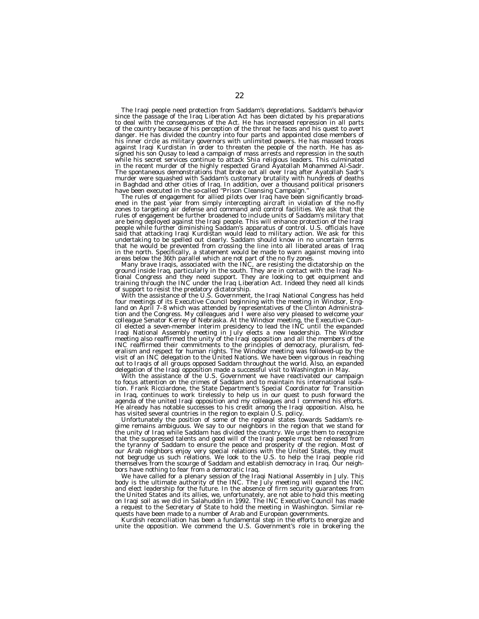The Iraqi people need protection from Saddam's depredations. Saddam's behavior since the passage of the Iraq Liberation Act has been dictated by his preparations to deal with the consequences of the Act. He has increased repression in all parts of the country because of his perception of the threat he faces and his quest to avert danger. He has divided the country into four parts and appointed close members of his inner circle as military governors with unlimited powers. He has massed troops against Iraqi Kurdistan in order to threaten the people of the north. He has assigned his son Qusay to lead a campaign of mass arrests and repression in the south while his secret services continue to attack Shia religious leaders. This culminated in the recent murder of the highly respected Grand Ayatollah Mohammed Al-Sadr. The spontaneous demonstrations that broke out all over Iraq after Ayatollah Sadr's murder were squashed with Saddam's customary brutality with hundreds of deaths

in Baghdad and other cities of Iraq. In addition, over a thousand political prisoners<br>have been executed in the so-called "Prison Cleansing Campaign."<br>The rules of engagement for allied pilots over Iraq have been significa ened in the past year from simply intercepting aircraft in violation of the no-fly zones to targeting air defense and command and control facilities. We ask that the rules of engagement be further broadened to include units of Saddam's military that are being deployed against the Iraqi people. This will enhance protection of the Iraqi<br>people while further diminishing Saddam's apparatus of control. U.S. officials have<br>said that attacking Iraqi Kurdistan would lead to m undertaking to be spelled out clearly. Saddam should know in no uncertain terms

that he would be prevented from crossing the line into all liberated areas of Iraq<br>in the north. Specifically, a statement would be made to warn against moving into<br>areas below the 36th parallel which are not part of the n of support to resist the predatory dictatorship.<br>
With the assistance of the U.S. Government, the Iraqi National Congress has held

land on April 7–8 which was attended by representatives of the Clinton Administration and the Congress. My colleagues and I were also very pleased to welcome your colleague Senator Kerrey of Nebraska. At the Windsor meetin meeting also reaffirmed the unity of the Iraqi opposition and all the members of the<br>INC reaffirmed their commitments to the principles of democracy, pluralism, fed-<br>eralism and respect for human rights. The Windsor meetin out to Iraqis of all groups opposed Saddam throughout the world. Also, an expanded delegation of the Iraqi opposition made a successful visit to Washington in May.

With the assistance of the U.S. Government we have reactivated our campaign to focus attention on the crimes of Saddam and to maintain his international isolation. Frank Ricciardone, the State Department's Special Coordinator for Transition in Iraq, continues to work tirelessly to help us in our quest to push forward the agenda of the united Iraqi opposition and my colleagues and I commend his efforts. He already has notable successes to his credit among the Iraqi opposition. Also, he has visited several countries in the region to explain U.S. policy.

Unfortunately the position of some of the regional states towards Saddam's regime remains ambiguous. We say to our neighbors in the region that we stand for the unity of Iraq while Saddam has divided the country. We urge them to recognize that the suppressed talents and good will of the Iraqi people must be released from the tyranny of Saddam to ensure the peace and prosperity of the region. Most of our Arab neighbors enjoy very special relations with the United States, they must not begrudge us such relations. We look to the U.S. to help the Iraqi people rid themselves from the scourge of Saddam and establish democracy in Iraq. Our neighbors have nothing to fear from a democratic Iraq.

We have called for a plenary session of the Iraqi National Assembly in July. This body is the ultimate authority of the INC. The July meeting will expand the INC and elect leadership for the future. In the absence of firm security guarantees from the United States and its allies, we, unfortunately, are not able to hold this meeting on Iraqi soil as we did in Salahuddin in 1992. The INC Executive Council has made a request to the Secretary of State to hold the meeting in Washington. Similar requests have been made to a number of Arab and European governments.

Kurdish reconciliation has been a fundamental step in the efforts to energize and unite the opposition. We commend the U.S. Government's role in brokering the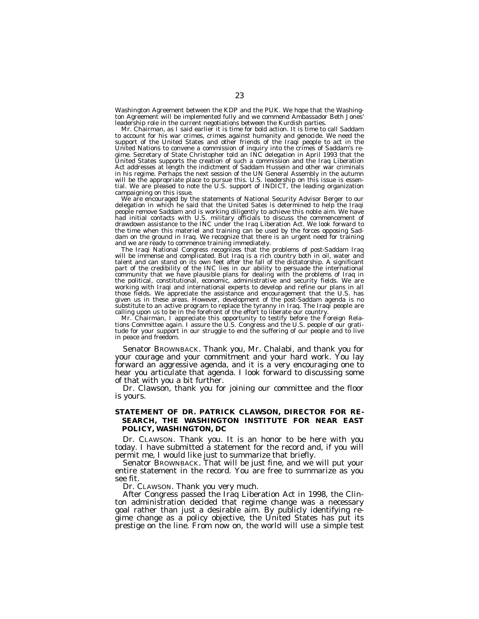Washington Agreement between the KDP and the PUK. We hope that the Washington Agreement will be implemented fully and we commend Ambassador Beth Jones' leadership role in the current negotiations between the Kurdish parties.

Mr. Chairman, as I said earlier it is time for bold action. It is time to call Saddam to account for his war crimes, crimes against humanity and genocide. We need the support of the United States and other friends of the Iraqi people to act in the United Nations to convene a commission of inquiry into the crimes of Saddam's regime. Secretary of State Christopher told an INC delegation in April 1993 that the United States supports the creation of such a commission and the Iraq Liberation Act addresses at length the indictment of Saddam Hussein and other war criminals in his regime. Perhaps the next session of the UN General Assembly in the autumn will be the appropriate place to pursue this. U.S. leadership on this issue is essential. We are pleased to note the U.S. support of INDICT, the leading organization campaigning on this issue.

We are encouraged by the statements of National Security Advisor Berger to our delegation in which he said that the United Sates is determined to help the Iraqi people remove Saddam and is working diligently to achieve this noble aim. We have had initial contacts with U.S. military officials to discuss the commencement of drawdown assistance to the INC under the Iraq Liberation Act. We look forward to the time when this materiel and training can be used by the forces opposing Saddam on the ground in Iraq. We recognize that there is an urgent need for training and we are ready to commence training immediately.

The Iraqi National Congress recognizes that the problems of post-Saddam Iraq will be immense and complicated. But Iraq is a rich country both in oil, water and talent and can stand on its own feet after the fall of the dictatorship. A significant part of the credibility of the INC lies in our ability to persuade the international community that we have plausible plans for dealing with the problems of Iraq in the political, constitutional, economic, administrative and security fields. We are working with Iraqi and international experts to develop and refine our plans in all those fields. We appreciate the assistance and encouragement that the U.S. has given us in these areas. However, development of the post-Saddam agenda is no substitute to an active program to replace the tyranny in Iraq. The Iraqi people are calling upon us to be in the forefront of the effort to liberate our country.

Mr. Chairman, I appreciate this opportunity to testify before the Foreign Relations Committee again. I assure the U.S. Congress and the U.S. people of our gratitude for your support in our struggle to end the suffering of our people and to live in peace and freedom.

Senator BROWNBACK. Thank you, Mr. Chalabi, and thank you for your courage and your commitment and your hard work. You lay forward an aggressive agenda, and it is a very encouraging one to hear you articulate that agenda. I look forward to discussing some of that with you a bit further.

Dr. Clawson, thank you for joining our committee and the floor is yours.

# **STATEMENT OF DR. PATRICK CLAWSON, DIRECTOR FOR RE-SEARCH, THE WASHINGTON INSTITUTE FOR NEAR EAST POLICY, WASHINGTON, DC**

Dr. CLAWSON. Thank you. It is an honor to be here with you today. I have submitted a statement for the record and, if you will permit me, I would like just to summarize that briefly.

Senator BROWNBACK. That will be just fine, and we will put your entire statement in the record. You are free to summarize as you see fit.

Dr. CLAWSON. Thank you very much.

After Congress passed the Iraq Liberation Act in 1998, the Clinton administration decided that regime change was a necessary goal rather than just a desirable aim. By publicly identifying regime change as a policy objective, the United States has put its prestige on the line. From now on, the world will use a simple test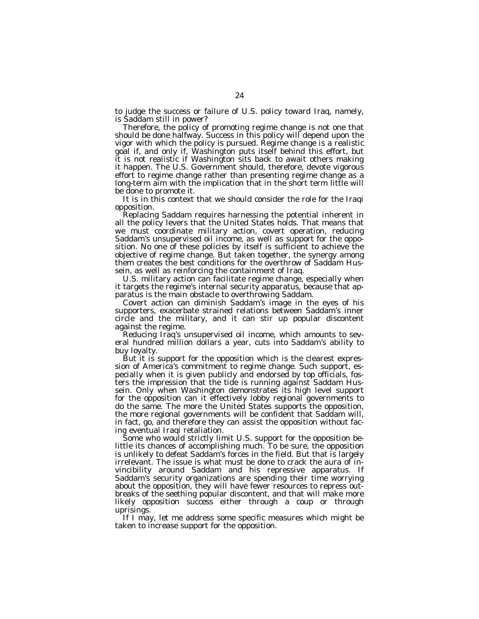to judge the success or failure of U.S. policy toward Iraq, namely, is Saddam still in power?

Therefore, the policy of promoting regime change is not one that should be done halfway. Success in this policy will depend upon the vigor with which the policy is pursued. Regime change is a realistic goal if, and only if, Washington puts itself behind this effort, but it is not realistic if Washington sits back to await others making it happen. The U.S. Government should, therefore, devote vigorous effort to regime change rather than presenting regime change as a long-term aim with the implication that in the short term little will be done to promote it.

It is in this context that we should consider the role for the Iraqi opposition.

Replacing Saddam requires harnessing the potential inherent in all the policy levers that the United States holds. That means that we must coordinate military action, covert operation, reducing Saddam's unsupervised oil income, as well as support for the opposition. No one of these policies by itself is sufficient to achieve the objective of regime change. But taken together, the synergy among them creates the best conditions for the overthrow of Saddam Hussein, as well as reinforcing the containment of Iraq.

U.S. military action can facilitate regime change, especially when it targets the regime's internal security apparatus, because that apparatus is the main obstacle to overthrowing Saddam.

Covert action can diminish Saddam's image in the eyes of his supporters, exacerbate strained relations between Saddam's inner circle and the military, and it can stir up popular discontent against the regime.

Reducing Iraq's unsupervised oil income, which amounts to several hundred million dollars a year, cuts into Saddam's ability to buy loyalty.

But it is support for the opposition which is the clearest expression of America's commitment to regime change. Such support, especially when it is given publicly and endorsed by top officials, fosters the impression that the tide is running against Saddam Hussein. Only when Washington demonstrates its high level support for the opposition can it effectively lobby regional governments to do the same. The more the United States supports the opposition, the more regional governments will be confident that Saddam will, in fact, go, and therefore they can assist the opposition without facing eventual Iraqi retaliation.

Some who would strictly limit U.S. support for the opposition belittle its chances of accomplishing much. To be sure, the opposition is unlikely to defeat Saddam's forces in the field. But that is largely irrelevant. The issue is what must be done to crack the aura of invincibility around Saddam and his repressive apparatus. If Saddam's security organizations are spending their time worrying about the opposition, they will have fewer resources to repress outbreaks of the seething popular discontent, and that will make more likely opposition success either through a coup or through uprisings.

If I may, let me address some specific measures which might be taken to increase support for the opposition.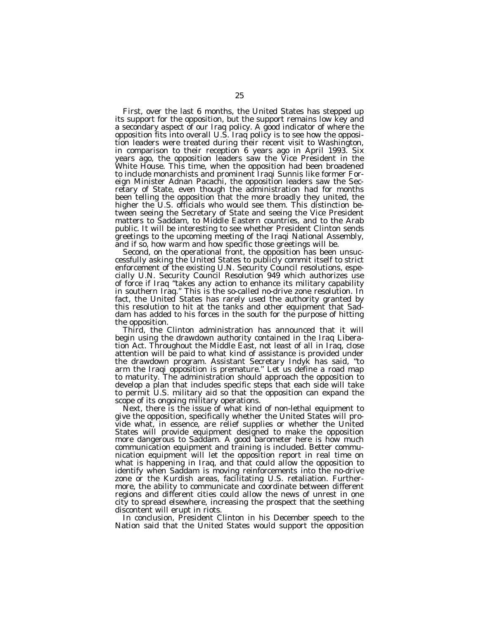First, over the last 6 months, the United States has stepped up its support for the opposition, but the support remains low key and a secondary aspect of our Iraq policy. A good indicator of where the opposition fits into overall U.S. Iraq policy is to see how the opposition leaders were treated during their recent visit to Washington, in comparison to their reception 6 years ago in April 1993. Six years ago, the opposition leaders saw the Vice President in the White House. This time, when the opposition had been broadened to include monarchists and prominent Iraqi Sunnis like former Foreign Minister Adnan Pacachi, the opposition leaders saw the Secretary of State, even though the administration had for months been telling the opposition that the more broadly they united, the higher the U.S. officials who would see them. This distinction between seeing the Secretary of State and seeing the Vice President matters to Saddam, to Middle Eastern countries, and to the Arab public. It will be interesting to see whether President Clinton sends greetings to the upcoming meeting of the Iraqi National Assembly, and if so, how warm and how specific those greetings will be.

Second, on the operational front, the opposition has been unsuccessfully asking the United States to publicly commit itself to strict enforcement of the existing U.N. Security Council resolutions, especially U.N. Security Council Resolution 949 which authorizes use of force if Iraq ''takes any action to enhance its military capability in southern Iraq.'' This is the so-called no-drive zone resolution. In fact, the United States has rarely used the authority granted by this resolution to hit at the tanks and other equipment that Saddam has added to his forces in the south for the purpose of hitting the opposition.

Third, the Clinton administration has announced that it will begin using the drawdown authority contained in the Iraq Liberation Act. Throughout the Middle East, not least of all in Iraq, close attention will be paid to what kind of assistance is provided under the drawdown program. Assistant Secretary Indyk has said, ''to arm the Iraqi opposition is premature." Let us define a road map to maturity. The administration should approach the opposition to develop a plan that includes specific steps that each side will take to permit U.S. military aid so that the opposition can expand the scope of its ongoing military operations.

Next, there is the issue of what kind of non-lethal equipment to give the opposition, specifically whether the United States will provide what, in essence, are relief supplies or whether the United States will provide equipment designed to make the opposition more dangerous to Saddam. A good barometer here is how much communication equipment and training is included. Better communication equipment will let the opposition report in real time on what is happening in Iraq, and that could allow the opposition to identify when Saddam is moving reinforcements into the no-drive zone or the Kurdish areas, facilitating U.S. retaliation. Furthermore, the ability to communicate and coordinate between different regions and different cities could allow the news of unrest in one city to spread elsewhere, increasing the prospect that the seething discontent will erupt in riots.

In conclusion, President Clinton in his December speech to the Nation said that the United States would support the opposition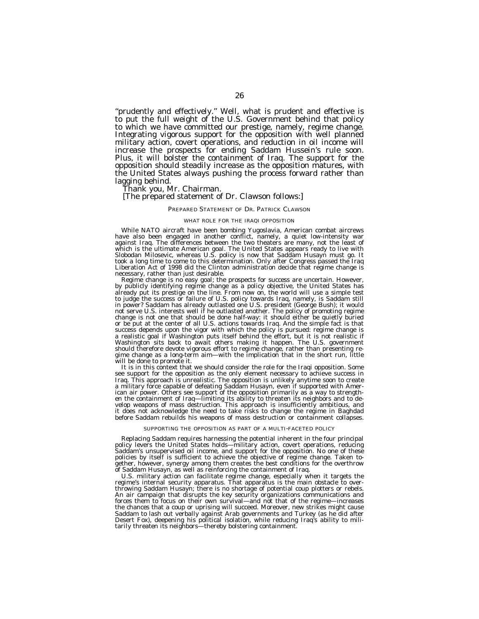''prudently and effectively.'' Well, what is prudent and effective is to put the full weight of the U.S. Government behind that policy to which we have committed our prestige, namely, regime change. Integrating vigorous support for the opposition with well planned military action, covert operations, and reduction in oil income will increase the prospects for ending Saddam Hussein's rule soon. Plus, it will bolster the containment of Iraq. The support for the opposition should steadily increase as the opposition matures, with the United States always pushing the process forward rather than lagging behind.

Thank you, Mr. Chairman.

## [The prepared statement of Dr. Clawson follows:]

#### PREPARED STATEMENT OF DR. PATRICK CLAWSON

#### WHAT ROLE FOR THE IRAQI OPPOSITION

While NATO aircraft have been bombing Yugoslavia, American combat aircrews have also been engaged in another conflict, namely, a quiet low-intensity war against Iraq. The differences between the two theaters are many, not the least of which is the ultimate American goal. The United States appears ready to live with<br>Slobodan Milosevic, whereas U.S. policy is now that Saddam Husayn must go. It<br>took a long time to come to this determination. Only after Con Liberation Act of 1998 did the Clinton administration decide that regime change is necessary, rather than just desirable.

Regime change is no easy goal; the prospects for success are uncertain. However, by publicly identifying regime change as a policy objective, the United States has already put its prestige on the line. From now on, the world will use a simple test to judge the success or failure of U.S. policy towards Iraq, namely, is Saddam still in power? Saddam has already outlasted one U.S. president (George Bush); it would not serve U.S. interests well if he outlasted another. The policy of promoting regime change is not one that should be done half-way: it should either be quietly buried or be put at the center of all U.S. actions towards Iraq. And the simple fact is that success depends upon the vigor with which the policy is pursued: regime change is a realistic goal if Washington puts itself behind the effort, but it is not realistic if Washington sits back to await others making it happen. The U.S. government should therefore devote vigorous effort to regime change, rather than presenting regime change as a long-term aim—with the implication that in the short run, little will be done to promote it.

It is in this context that we should consider the role for the Iraqi opposition. Some see support for the opposition as the only element necessary to achieve success in Iraq. This approach is unrealistic. The opposition is unlikely anytime soon to create a military force capable of defeating Saddam Husayn, even if supported with American air power. Others see support of the opposition primarily as a way to strengthen the containment of Iraq—limiting its ability to threaten its neighbors and to develop weapons of mass destruction. This approach is insufficiently ambitious, and it does not acknowledge the need to take risks to change the regime in Baghdad before Saddam rebuilds his weapons of mass destruction or containment collapses.

#### SUPPORTING THE OPPOSITION AS PART OF A MULTI-FACETED POLICY

Replacing Saddam requires harnessing the potential inherent in the four principal policy levers the United States holds—military action, covert operations, reducing Saddam's unsupervised oil income, and support for the opposition. No one of these policies by itself is sufficient to achieve the objective of regime change. Taken together, however, synergy among them creates the best conditions for the overthrow of Saddam Husayn, as well as reinforcing the containment of Iraq.

U.S. military action can facilitate regime change, especially when it targets the regime's internal security apparatus. That apparatus is the main obstacle to overthrowing Saddam Husayn; there is no shortage of potential coup plotters or rebels. An air campaign that disrupts the key security organizations communications and forces them to focus on their own survival—and not that of the regime—increases the chances that a coup or uprising will succeed. Moreover, new strikes might cause Saddam to lash out verbally against Arab governments and Turkey (as he did after Desert Fox), deepening his political isolation, while reducing Iraq's ability to mili-tarily threaten its neighbors—thereby bolstering containment.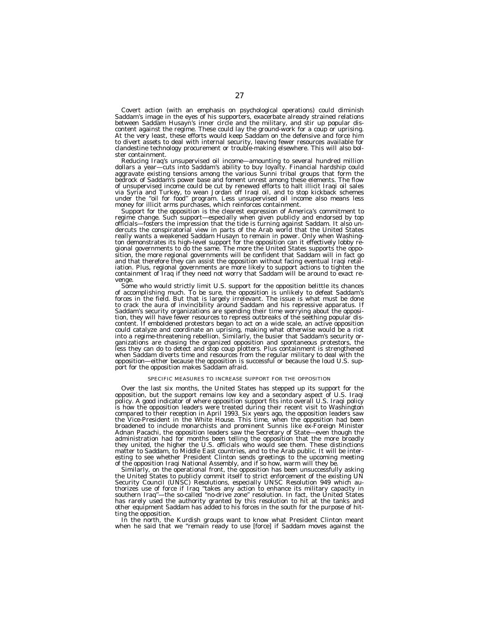Covert action (with an emphasis on psychological operations) could diminish Saddam's image in the eyes of his supporters, exacerbate already strained relations between Saddam Husayn's inner circle and the military, and stir up popular discontent against the regime. These could lay the ground-work for a coup or uprising. At the very least, these efforts would keep Saddam on the defensive and force him to divert assets to deal with internal security, leaving fewer resources available for clandestine technology procurement or trouble-making elsewhere. This will also bolster containment.

Reducing Iraq's unsupervised oil income—amounting to several hundred million dollars a year—cuts into Saddam's ability to buy loyalty. Financial hardship could aggravate existing tensions among the various Sunni tribal groups that form the bedrock of Saddam's power base and foment unrest among these elements. The flow of unsupervised income could be cut by renewed efforts to halt illicit Iraqi oil sales via Syria and Turkey, to wean Jordan off Iraqi oil, and to stop kickback schemes under the ''oil for food'' program. Less unsupervised oil income also means less money for illicit arms purchases, which reinforces containment.

Support for the opposition is the clearest expression of America's commitment to regime change. Such support—especially when given publicly and endorsed by top officials—fosters the impression that the tide is turning against Saddam. It also undercuts the conspiratorial view in parts of the Arab world that the United States really wants a weakened Saddam Husayn to remain in power. Only when Washington demonstrates its high-level support for the opposition can it effectively lobby regional governments to do the same. The more the United States supports the opposition, the more regional governments will be confident that Saddam will in fact go and that therefore they can assist the opposition without facing eventual Iraqi retaliation. Plus, regional governments are more likely to support actions to tighten the containment of Iraq if they need not worry that Saddam will be around to exact revenge.

Some who would strictly limit U.S. support for the opposition belittle its chances of accomplishing much. To be sure, the opposition is unlikely to defeat Saddam's forces in the field. But that is largely irrelevant. The issue is what must be done to crack the aura of invincibility around Saddam and his repressive apparatus. If Saddam's security organizations are spending their time worrying about the opposition, they will have fewer resources to repress outbreaks of the seething popular discontent. If emboldened protestors began to act on a wide scale, an active opposition could catalyze and coordinate an uprising, making what otherwise would be a riot into a regime-threatening rebellion. Similarly, the busier that Saddam's security organizations are chasing the organized opposition and spontaneous protestors, the less they can do to detect and stop coup plotters. Plus containment is strengthened when Saddam diverts time and resources from the regular military to deal with the opposition—either because the opposition is successful or because the loud U.S. support for the opposition makes Saddam afraid.

#### SPECIFIC MEASURES TO INCREASE SUPPORT FOR THE OPPOSITION

Over the last six months, the United States has stepped up its support for the opposition, but the support remains low key and a secondary aspect of U.S. Iraqi policy. A good indicator of where opposition support fits into overall U.S. Iraqi policy is how the opposition leaders were treated during their recent visit to Washington compared to their reception in April 1993. Six years ago, the opposition leaders saw the Vice-President in the White House. This time, when the opposition had been broadened to include monarchists and prominent Sunnis like ex-Foreign Minister Adnan Pacachi, the opposition leaders saw the Secretary of State—even though the administration had for months been telling the opposition that the more broadly they united, the higher the U.S. officials who would see them. These distinctions matter to Saddam, to Middle East countries, and to the Arab public. It will be interesting to see whether President Clinton sends greetings to the upcoming meeting of the opposition Iraqi National Assembly, and if so how, warm will they be.

Similarly, on the operational front, the opposition has been unsuccessfully asking the United States to publicly commit itself to strict enforcement of the existing UN Security Council (UNSC) Resolutions, especially UNSC Resolution 949 which authorizes use of force if Iraq ''takes any action to enhance its military capacity in southern Iraq''—the so-called ''no-drive zone'' resolution. In fact, the United States has rarely used the authority granted by this resolution to hit at the tanks and other equipment Saddam has added to his forces in the south for the purpose of hitting the opposition.

In the north, the Kurdish groups want to know what President Clinton meant when he said that we ''remain ready to use [force] if Saddam moves against the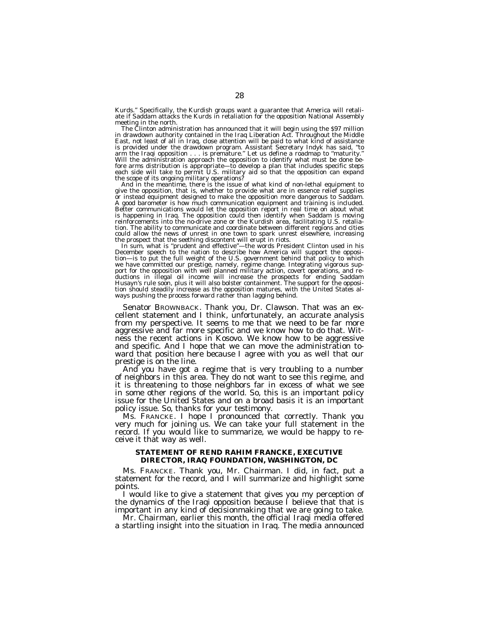Kurds.'' Specifically, the Kurdish groups want a guarantee that America will retaliate if Saddam attacks the Kurds in retaliation for the opposition National Assembly<br>meeting in the north.

The Clinton administration has announced that it will begin using the  $$97$  million in drawdown authority contained in the Iraq Liberation Act. Throughout the Middle East, not least of all in Iraq, close attention will be paid to what kind of assistance<br>is provided under the drawdown program. Assistant Secretary Indyk has said, "to<br>arm the Iraqi opposition . . . is premature." Let us d fore arms distribution is appropriate—to develop a plan that includes specific steps each side will take to permit U.S. military aid so that the opposition can expand the scope of its ongoing military operations? And in the meantime, there is the issue of what kind of non-lethal equipment to

give the opposition, that is, whether to provide what are in essence relief supplies or instead equipment designed to make the opposition more dangerous to Saddam. A good barometer is how much communication equipment and training is included. Better communications would let the opposition report in real time on about what is happening in Iraq. The opposition could then identify when Saddam is moving reinforcements into the no-drive zone or the Kurdish area, facilitating U.S. retaliation. The ability to communicate and coordinate between different regions and cities could allow the news of unrest in one town to spark unrest elsewhere, increasing

the prospect that the seething discontent will erupt in riots.<br>In sum, what is "prudent and effective"—the words President Clinton used in his December speech to the nation to describe how America will support the opposi-tion—is to put the full weight of the U.S. government behind that policy to which we have committed our prestige, namely, regime change. Integrating vigorous support for the opposition with well planned military action, covert operations, and reductions in illegal oil income will increase the prospects tion should steadily increase as the opposition matures, with the United States al-ways pushing the process forward rather than lagging behind.

Senator BROWNBACK. Thank you, Dr. Clawson. That was an ex- cellent statement and I think, unfortunately, an accurate analysis from my perspective. It seems to me that we need to be far more aggressive and far more specific and we know how to do that. Witness the recent actions in Kosovo. We know how to be aggressive and specific. And I hope that we can move the administration toward that position here because I agree with you as well that our prestige is on the line.

che And you have got a regime that is very troubling to a number of neighbors in this area. They do not want to see this regime, and it is threatening to those neighbors far in excess of what we see in some other regions of the world. So, this is an important policy issue for the United States and on a broad basis it is an important policy issue. So, thanks for your testimony.

Ms. FRANCKE. I hope I pronounced that correctly. Thank you very much for joining us. We can take your full statement in the record. If you would like to summarize, we would be happy to receive it that way as well.

# **STATEMENT OF REND RAHIM FRANCKE, EXECUTIVE DIRECTOR, IRAQ FOUNDATION, WASHINGTON, DC**

Ms. FRANCKE. Thank you, Mr. Chairman. I did, in fact, put a statement for the record, and I will summarize and highlight some points.

I would like to give a statement that gives you my perception of the dynamics of the Iraqi opposition because I believe that that is important in any kind of decisionmaking that we are going to take.

Mr. Chairman, earlier this month, the official Iraqi media offered a startling insight into the situation in Iraq. The media announced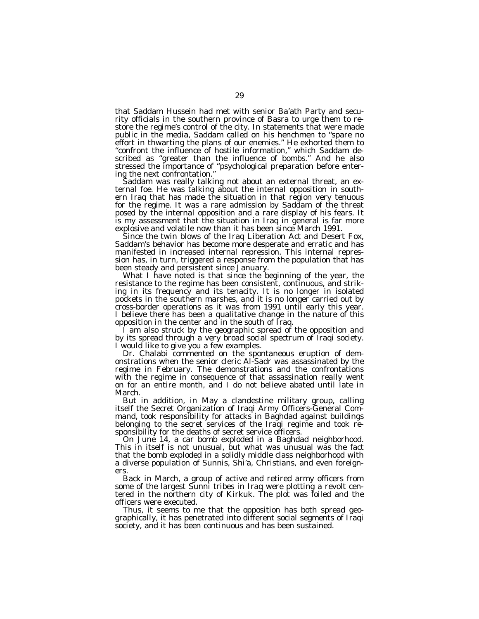that Saddam Hussein had met with senior Ba'ath Party and security officials in the southern province of Basra to urge them to restore the regime's control of the city. In statements that were made public in the media, Saddam called on his henchmen to ''spare no effort in thwarting the plans of our enemies." He exhorted them to "confront the influence of hostile information," which Saddam described as ''greater than the influence of bombs.'' And he also stressed the importance of ''psychological preparation before entering the next confrontation.''

Saddam was really talking not about an external threat, an external foe. He was talking about the internal opposition in southern Iraq that has made the situation in that region very tenuous for the regime. It was a rare admission by Saddam of the threat posed by the internal opposition and a rare display of his fears. It is my assessment that the situation in Iraq in general is far more explosive and volatile now than it has been since March 1991.

Since the twin blows of the Iraq Liberation Act and Desert Fox, Saddam's behavior has become more desperate and erratic and has manifested in increased internal repression. This internal repression has, in turn, triggered a response from the population that has been steady and persistent since January.

What I have noted is that since the beginning of the year, the resistance to the regime has been consistent, continuous, and striking in its frequency and its tenacity. It is no longer in isolated pockets in the southern marshes, and it is no longer carried out by cross-border operations as it was from 1991 until early this year. I believe there has been a qualitative change in the nature of this opposition in the center and in the south of Iraq.

I am also struck by the geographic spread of the opposition and by its spread through a very broad social spectrum of Iraqi society. I would like to give you a few examples.

Dr. Chalabi commented on the spontaneous eruption of demonstrations when the senior cleric Al-Sadr was assassinated by the regime in February. The demonstrations and the confrontations with the regime in consequence of that assassination really went on for an entire month, and I do not believe abated until late in March.

But in addition, in May a clandestine military group, calling itself the Secret Organization of Iraqi Army Officers-General Command, took responsibility for attacks in Baghdad against buildings belonging to the secret services of the Iraqi regime and took responsibility for the deaths of secret service officers.

On June 14, a car bomb exploded in a Baghdad neighborhood. This in itself is not unusual, but what was unusual was the fact that the bomb exploded in a solidly middle class neighborhood with a diverse population of Sunnis, Shi'a, Christians, and even foreigners.

Back in March, a group of active and retired army officers from some of the largest Sunni tribes in Iraq were plotting a revolt centered in the northern city of Kirkuk. The plot was foiled and the officers were executed.

Thus, it seems to me that the opposition has both spread geographically, it has penetrated into different social segments of Iraqi society, and it has been continuous and has been sustained.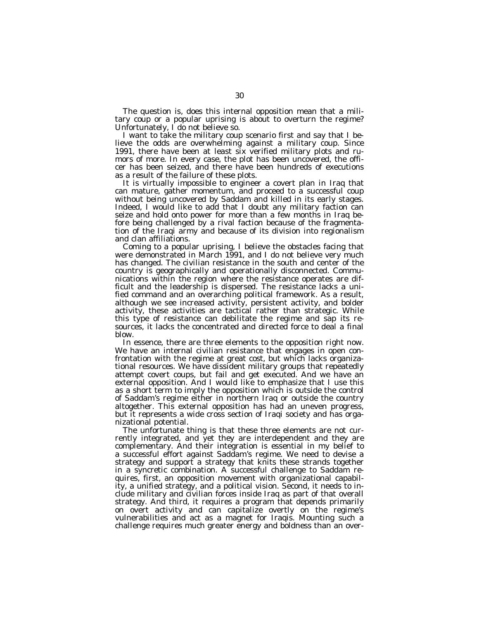The question is, does this internal opposition mean that a military coup or a popular uprising is about to overturn the regime? Unfortunately, I do not believe so.

I want to take the military coup scenario first and say that I believe the odds are overwhelming against a military coup. Since 1991, there have been at least six verified military plots and rumors of more. In every case, the plot has been uncovered, the officer has been seized, and there have been hundreds of executions as a result of the failure of these plots.

It is virtually impossible to engineer a covert plan in Iraq that can mature, gather momentum, and proceed to a successful coup without being uncovered by Saddam and killed in its early stages. Indeed, I would like to add that I doubt any military faction can seize and hold onto power for more than a few months in Iraq before being challenged by a rival faction because of the fragmentation of the Iraqi army and because of its division into regionalism and clan affiliations.

Coming to a popular uprising, I believe the obstacles facing that were demonstrated in March 1991, and I do not believe very much has changed. The civilian resistance in the south and center of the country is geographically and operationally disconnected. Communications within the region where the resistance operates are difficult and the leadership is dispersed. The resistance lacks a unified command and an overarching political framework. As a result, although we see increased activity, persistent activity, and bolder activity, these activities are tactical rather than strategic. While this type of resistance can debilitate the regime and sap its resources, it lacks the concentrated and directed force to deal a final blow.

In essence, there are three elements to the opposition right now. We have an internal civilian resistance that engages in open confrontation with the regime at great cost, but which lacks organizational resources. We have dissident military groups that repeatedly attempt covert coups, but fail and get executed. And we have an external opposition. And I would like to emphasize that I use this as a short term to imply the opposition which is outside the control of Saddam's regime either in northern Iraq or outside the country altogether. This external opposition has had an uneven progress, but it represents a wide cross section of Iraqi society and has organizational potential.

The unfortunate thing is that these three elements are not currently integrated, and yet they are interdependent and they are complementary. And their integration is essential in my belief to a successful effort against Saddam's regime. We need to devise a strategy and support a strategy that knits these strands together in a syncretic combination. A successful challenge to Saddam requires, first, an opposition movement with organizational capability, a unified strategy, and a political vision. Second, it needs to include military and civilian forces inside Iraq as part of that overall strategy. And third, it requires a program that depends primarily on overt activity and can capitalize overtly on the regime's vulnerabilities and act as a magnet for Iraqis. Mounting such a challenge requires much greater energy and boldness than an over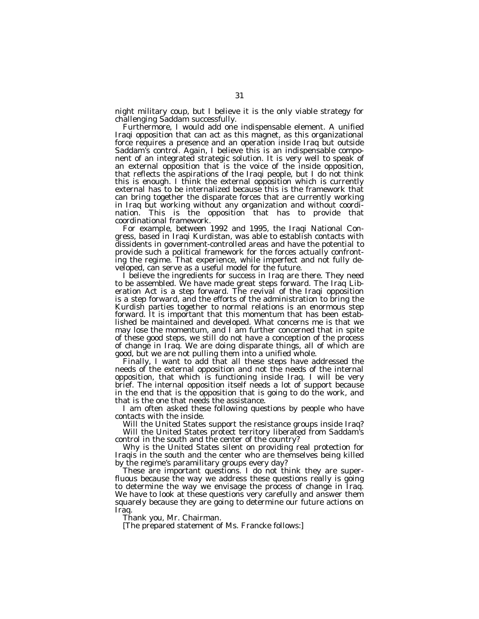night military coup, but I believe it is the only viable strategy for challenging Saddam successfully.

Furthermore, I would add one indispensable element. A unified Iraqi opposition that can act as this magnet, as this organizational force requires a presence and an operation inside Iraq but outside Saddam's control. Again, I believe this is an indispensable component of an integrated strategic solution. It is very well to speak of an external opposition that is the voice of the inside opposition, that reflects the aspirations of the Iraqi people, but I do not think this is enough. I think the external opposition which is currently external has to be internalized because this is the framework that can bring together the disparate forces that are currently working in Iraq but working without any organization and without coordination. This is the opposition that has to provide that coordinational framework.

For example, between 1992 and 1995, the Iraqi National Congress, based in Iraqi Kurdistan, was able to establish contacts with dissidents in government-controlled areas and have the potential to provide such a political framework for the forces actually confronting the regime. That experience, while imperfect and not fully developed, can serve as a useful model for the future.

I believe the ingredients for success in Iraq are there. They need to be assembled. We have made great steps forward. The Iraq Liberation Act is a step forward. The revival of the Iraqi opposition is a step forward, and the efforts of the administration to bring the Kurdish parties together to normal relations is an enormous step forward. It is important that this momentum that has been established be maintained and developed. What concerns me is that we may lose the momentum, and I am further concerned that in spite of these good steps, we still do not have a conception of the process of change in Iraq. We are doing disparate things, all of which are good, but we are not pulling them into a unified whole.

Finally, I want to add that all these steps have addressed the needs of the external opposition and not the needs of the internal opposition, that which is functioning inside Iraq. I will be very brief. The internal opposition itself needs a lot of support because in the end that is the opposition that is going to do the work, and that is the one that needs the assistance.

I am often asked these following questions by people who have contacts with the inside.

Will the United States support the resistance groups inside Iraq? Will the United States protect territory liberated from Saddam's control in the south and the center of the country?

Why is the United States silent on providing real protection for Iraqis in the south and the center who are themselves being killed by the regime's paramilitary groups every day?

These are important questions. I do not think they are superfluous because the way we address these questions really is going to determine the way we envisage the process of change in Iraq. We have to look at these questions very carefully and answer them squarely because they are going to determine our future actions on Iraq.

Thank you, Mr. Chairman.

[The prepared statement of Ms. Francke follows:]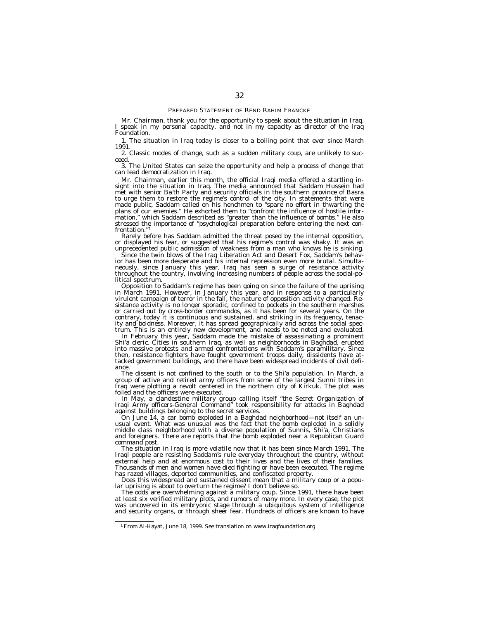Mr. Chairman, thank you for the opportunity to speak about the situation in Iraq. I speak in my personal capacity, and not in my capacity as director of the Iraq Foundation.

1. The situation in Iraq today is closer to a boiling point that ever since March 1991.

2. Classic modes of change, such as a sudden military coup, are unlikely to succeed.

3. The United States can seize the opportunity and help a process of change that can lead democratization in Iraq.

Mr. Chairman, earlier this month, the official Iraqi media offered a startling insight into the situation in Iraq. The media announced that Saddam Hussein had met with senior Ba'th Party and security officials in the southern province of Basra to urge them to restore the regime's control of the city. In statements that were made public, Saddam called on his henchmen to ''spare no effort in thwarting the plans of our enemies.'' He exhorted them to ''confront the influence of hostile information,'' which Saddam described as ''greater than the influence of bombs.'' He also stressed the importance of ''psychological preparation before entering the next confrontation.''1

Rarely before has Saddam admitted the threat posed by the internal opposition, or displayed his fear, or suggested that his regime's control was shaky. It was an unprecedented public admission of weakness from a man who knows he is sinking.

Since the twin blows of the Iraq Liberation Act and Desert Fox, Saddam's behavior has been more desperate and his internal repression even more brutal. Simultaneously, since January this year, Iraq has seen a surge of resistance activity throughout the country, involving increasing numbers of people across the social-political spectrum.

Opposition to Saddam's regime has been going on since the failure of the uprising in March 1991. However, in January this year, and in response to a particularly virulent campaign of terror in the fall, the nature of opposition activity changed. Resistance activity is no longer sporadic, confined to pockets in the southern marshes or carried out by cross-border commandos, as it has been for several years. On the contrary, today it is continuous and sustained, and striking in its frequency, tenacity and boldness. Moreover, it has spread geographically and across the social spectrum. This is an entirely new development, and needs to be noted and evaluated.

In February this year, Saddam made the mistake of assassinating a prominent Shi'a cleric. Cities in southern Iraq, as well as neighborhoods in Baghdad, erupted into massive protests and armed confrontations with Saddam's paramilitary. Since then, resistance fighters have fought government troops daily, dissidents have attacked government buildings, and there have been widespread incidents of civil defiance.

The dissent is not confined to the south or to the Shi'a population. In March, a group of active and retired army officers from some of the largest Sunni tribes in Iraq were plotting a revolt centered in the northern city of Kirkuk. The plot was foiled and the officers were executed.

In May, a clandestine military group calling itself ''the Secret Organization of Iraqi Army officers-General Command'' took responsibility for attacks in Baghdad against buildings belonging to the secret services.

On June 14, a car bomb exploded in a Baghdad neighborhood—not itself an unusual event. What was unusual was the fact that the bomb exploded in a solidly middle class neighborhood with a diverse population of Sunnis, Shi'a, Christians and foreigners. There are reports that the bomb exploded near a Republican Guard command post.

The situation in Iraq is more volatile now that it has been since March 1991. The Iraqi people are resisting Saddam's rule everyday throughout the country, without external help and at enormous cost to their lives and the lives of their families. Thousands of men and women have died fighting or have been executed. The regime has razed villages, deported communities, and confiscated property.

Does this widespread and sustained dissent mean that a military coup or a popular uprising is about to overturn the regime? I don't believe so.

The odds are overwhelming against a military coup. Since 1991, there have been at least six verified military plots, and rumors of many more. In every case, the plot was uncovered in its embryonic stage through a ubiquitous system of intelligence and security organs, or through sheer fear. Hundreds of officers are known to have

<sup>1</sup>From Al-Hayat, June 18, 1999. See translation on www.iraqfoundation.org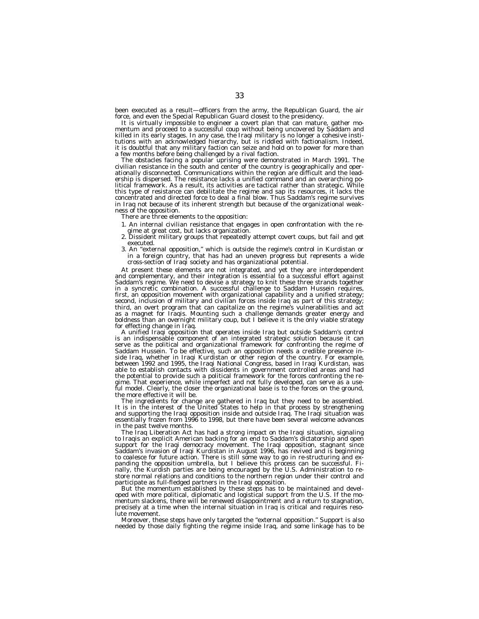been executed as a result—officers from the army, the Republican Guard, the air force, and even the Special Republican Guard closest to the presidency.

It is virtually impossible to engineer a covert plan that can mature, gather momentum and proceed to a successful coup without being uncovered by Saddam and killed in its early stages. In any case, the Iraqi military is no longer a cohesive institutions with an acknowledged hierarchy, but is riddled with factionalism. Indeed, it is doubtful that any military faction can seize and hold on to power for more than a few months before being challenged by a rival faction.

The obstacles facing a popular uprising were demonstrated in March 1991. The civilian resistance in the south and center of the country is geographically and operationally disconnected. Communications within the region are difficult and the leadership is dispersed. The resistance lacks a unified command and an overarching political framework. As a result, its activities are tactical rather than strategic. While this type of resistance can debilitate the regime and sap its resources, it lacks the concentrated and directed force to deal a final blow. Thus Saddam's regime survives in Iraq not because of its inherent strength but because of the organizational weakness of the opposition.

There are three elements to the opposition:

- 1. An internal civilian resistance that engages in open confrontation with the regime at great cost, but lacks organization.
- 2. Dissident military groups that repeatedly attempt covert coups, but fail and get executed.
- 3. An ''external opposition,'' which is outside the regime's control in Kurdistan or in a foreign country, that has had an uneven progress but represents a wide cross-section of Iraqi society and has organizational potential.

At present these elements are not integrated, and yet they are interdependent and complementary, and their integration is essential to a successful effort against Saddam's regime. We need to devise a strategy to knit these three strands together in a syncretic combination. A successful challenge to Saddam Hussein requires, first, an opposition movement with organizational capability and a unified strategy; second, inclusion of military and civilian forces inside Iraq as part of this strategy; third, an overt program that can capitalize on the regime's vulnerabilities and act as a magnet for Iraqis. Mounting such a challenge demands greater energy and boldness than an overnight military coup, but I believe it is the only viable strategy for effecting change in Iraq.

A unified Iraqi opposition that operates inside Iraq but outside Saddam's control is an indispensable component of an integrated strategic solution because it can serve as the political and organizational framework for confronting the regime of Saddam Hussein. To be effective, such an opposition needs a credible presence inside Iraq, whether in Iraqi Kurdistan or other region of the country. For example, between 1992 and 1995, the Iraqi National Congress, based in Iraqi Kurdistan, was able to establish contacts with dissidents in government controlled areas and had the potential to provide such a political framework for the forces confronting the regime. That experience, while imperfect and not fully developed, can serve as a useful model. Clearly, the closer the organizational base is to the forces on the ground, the more effective it will be.

The ingredients for change are gathered in Iraq but they need to be assembled. It is in the interest of the United States to help in that process by strengthening and supporting the Iraqi opposition inside and outside Iraq. The Iraqi situation was essentially frozen from 1996 to 1998, but there have been several welcome advances in the past twelve months.

The Iraq Liberation Act has had a strong impact on the Iraqi situation, signaling to Iraqis an explicit American backing for an end to Saddam's dictatorship and open support for the Iraqi democracy movement. The Iraqi opposition, stagnant since Saddam's invasion of Iraqi Kurdistan in August 1996, has revived and is beginning to coalesce for future action. There is still some way to go in re-structuring and expanding the opposition umbrella, but I believe this process can be successful. Finally, the Kurdish parties are being encouraged by the U.S. Administration to restore normal relations and conditions to the northern region under their control and participate as full-fledged partners in the Iraqi opposition.

But the momentum established by these steps has to be maintained and developed with more political, diplomatic and logistical support from the U.S. If the momentum slackens, there will be renewed disappointment and a return to stagnation, precisely at a time when the internal situation in Iraq is critical and requires resolute movement.

Moreover, these steps have only targeted the ''external opposition.'' Support is also needed by those daily fighting the regime inside Iraq, and some linkage has to be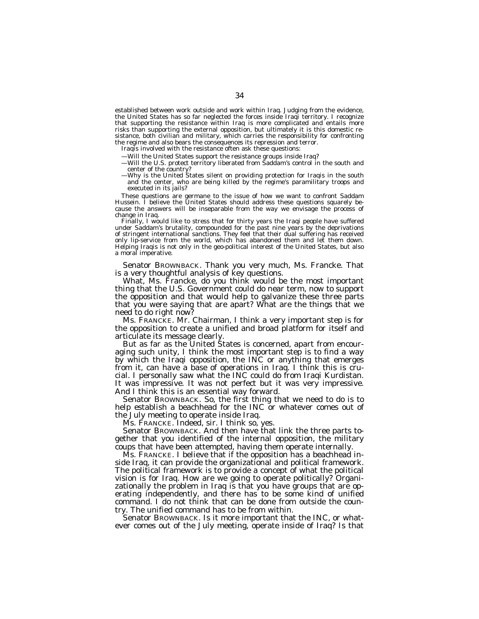established between work outside and work within Iraq. Judging from the evidence, the United States has so far neglected the forces inside Iraqi territory. I recognize that supporting the resistance within Iraq is more complicated and entails more risks than supporting the external opposition, but ultimately it is this domestic resistance, both civilian and military, which carries the responsibility for confronting the regime and also bears the consequences its repression and terror.

Iraqis involved with the resistance often ask these questions:

- —Will the United States support the resistance groups inside Iraq?
- —Will the U.S. protect territory liberated from Saddam's control in the south and center of the country?
- —Why is the United States silent on providing protection for Iraqis in the south and the center, who are being killed by the regime's paramilitary troops and executed in its jails?

These questions are germane to the issue of how we want to confront Saddam Hussein. I believe the United States should address these questions squarely because the answers will be inseparable from the way we envisage the process of change in Iraq.

Finally, I would like to stress that for thirty years the Iraqi people have suffered under Saddam's brutality, compounded for the past nine years by the deprivations of stringent international sanctions. They feel that their dual suffering has received only lip-service from the world, which has abandoned them and let them down. Helping Iraqis is not only in the geo-political interest of the United States, but also a moral imperative.

Senator BROWNBACK. Thank you very much, Ms. Francke. That is a very thoughtful analysis of key questions.

What, Ms. Francke, do you think would be the most important thing that the U.S. Government could do near term, now to support the opposition and that would help to galvanize these three parts that you were saying that are apart? What are the things that we need to do right now?

Ms. FRANCKE. Mr. Chairman, I think a very important step is for the opposition to create a unified and broad platform for itself and articulate its message clearly.

But as far as the United States is concerned, apart from encouraging such unity, I think the most important step is to find a way by which the Iraqi opposition, the INC or anything that emerges from it, can have a base of operations in Iraq. I think this is crucial. I personally saw what the INC could do from Iraqi Kurdistan. It was impressive. It was not perfect but it was very impressive. And I think this is an essential way forward.

Senator BROWNBACK. So, the first thing that we need to do is to help establish a beachhead for the INC or whatever comes out of the July meeting to operate inside Iraq.

Ms. FRANCKE. Indeed, sir. I think so, yes.

Senator BROWNBACK. And then have that link the three parts together that you identified of the internal opposition, the military coups that have been attempted, having them operate internally.

Ms. FRANCKE. I believe that if the opposition has a beachhead inside Iraq, it can provide the organizational and political framework. The political framework is to provide a concept of what the political vision is for Iraq. How are we going to operate politically? Organizationally the problem in Iraq is that you have groups that are operating independently, and there has to be some kind of unified command. I do not think that can be done from outside the country. The unified command has to be from within.

Senator BROWNBACK. Is it more important that the INC, or whatever comes out of the July meeting, operate inside of Iraq? Is that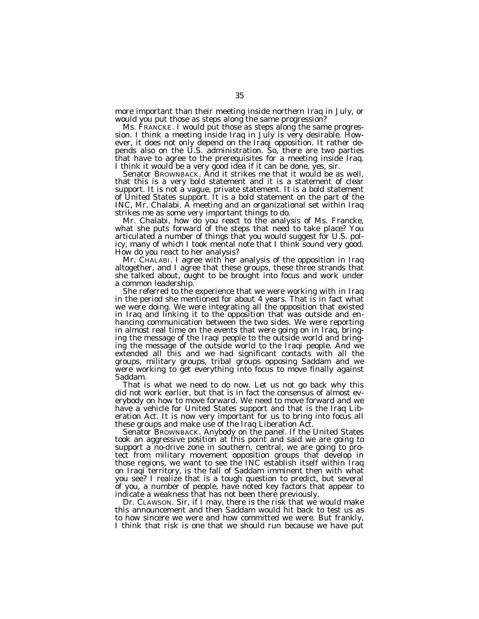more important than their meeting inside northern Iraq in July, or would you put those as steps along the same progression?

Ms. FRANCKE. I would put those as steps along the same progression. I think a meeting inside Iraq in July is very desirable. However, it does not only depend on the Iraqi opposition. It rather depends also on the U.S. administration. So, there are two parties that have to agree to the prerequisites for a meeting inside Iraq. I think it would be a very good idea if it can be done, yes, sir.

Senator BROWNBACK. And it strikes me that it would be as well, that this is a very bold statement and it is a statement of clear support. It is not a vague, private statement. It is a bold statement of United States support. It is a bold statement on the part of the INC, Mr. Chalabi. A meeting and an organizational set within Iraq strikes me as some very important things to do.

Mr. Chalabi, how do you react to the analysis of Ms. Francke, what she puts forward of the steps that need to take place? You articulated a number of things that you would suggest for U.S. policy, many of which I took mental note that I think sound very good. How do you react to her analysis?

Mr. CHALABI. I agree with her analysis of the opposition in Iraq altogether, and I agree that these groups, these three strands that she talked about, ought to be brought into focus and work under a common leadership.

She referred to the experience that we were working with in Iraq in the period she mentioned for about 4 years. That is in fact what we were doing. We were integrating all the opposition that existed in Iraq and linking it to the opposition that was outside and enhancing communication between the two sides. We were reporting in almost real time on the events that were going on in Iraq, bringing the message of the Iraqi people to the outside world and bringing the message of the outside world to the Iraqi people. And we extended all this and we had significant contacts with all the groups, military groups, tribal groups opposing Saddam and we were working to get everything into focus to move finally against Saddam.

That is what we need to do now. Let us not go back why this did not work earlier, but that is in fact the consensus of almost everybody on how to move forward. We need to move forward and we have a vehicle for United States support and that is the Iraq Liberation Act. It is now very important for us to bring into focus all these groups and make use of the Iraq Liberation Act.

Senator BROWNBACK. Anybody on the panel. If the United States took an aggressive position at this point and said we are going to support a no-drive zone in southern, central, we are going to protect from military movement opposition groups that develop in those regions, we want to see the INC establish itself within Iraq on Iraqi territory, is the fall of Saddam imminent then with what you see? I realize that is a tough question to predict, but several of you, a number of people, have noted key factors that appear to indicate a weakness that has not been there previously.

Dr. CLAWSON. Sir, if I may, there is the risk that we would make this announcement and then Saddam would hit back to test us as to how sincere we were and how committed we were. But frankly, I think that risk is one that we should run because we have put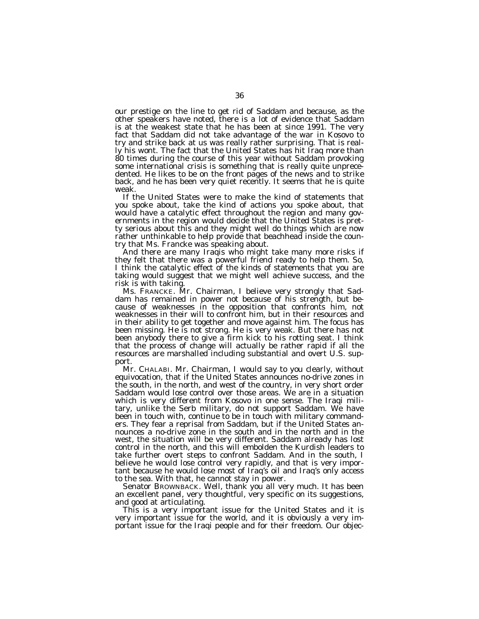our prestige on the line to get rid of Saddam and because, as the other speakers have noted, there is a lot of evidence that Saddam is at the weakest state that he has been at since 1991. The very fact that Saddam did not take advantage of the war in Kosovo to try and strike back at us was really rather surprising. That is really his wont. The fact that the United States has hit Iraq more than 80 times during the course of this year without Saddam provoking some international crisis is something that is really quite unprecedented. He likes to be on the front pages of the news and to strike back, and he has been very quiet recently. It seems that he is quite weak.

If the United States were to make the kind of statements that you spoke about, take the kind of actions you spoke about, that would have a catalytic effect throughout the region and many governments in the region would decide that the United States is pretty serious about this and they might well do things which are now rather unthinkable to help provide that beachhead inside the country that Ms. Francke was speaking about.

And there are many Iraqis who might take many more risks if they felt that there was a powerful friend ready to help them. So, I think the catalytic effect of the kinds of statements that you are taking would suggest that we might well achieve success, and the risk is with taking.

Ms. FRANCKE. Mr. Chairman, I believe very strongly that Saddam has remained in power not because of his strength, but because of weaknesses in the opposition that confronts him, not weaknesses in their will to confront him, but in their resources and in their ability to get together and move against him. The focus has been missing. He is not strong. He is very weak. But there has not been anybody there to give a firm kick to his rotting seat. I think that the process of change will actually be rather rapid if all the resources are marshalled including substantial and overt U.S. support.

Mr. CHALABI. Mr. Chairman, I would say to you clearly, without equivocation, that if the United States announces no-drive zones in the south, in the north, and west of the country, in very short order Saddam would lose control over those areas. We are in a situation which is very different from Kosovo in one sense. The Iraqi military, unlike the Serb military, do not support Saddam. We have been in touch with, continue to be in touch with military commanders. They fear a reprisal from Saddam, but if the United States announces a no-drive zone in the south and in the north and in the west, the situation will be very different. Saddam already has lost control in the north, and this will embolden the Kurdish leaders to take further overt steps to confront Saddam. And in the south, I believe he would lose control very rapidly, and that is very important because he would lose most of Iraq's oil and Iraq's only access to the sea. With that, he cannot stay in power.

Senator BROWNBACK. Well, thank you all very much. It has been an excellent panel, very thoughtful, very specific on its suggestions, and good at articulating.

This is a very important issue for the United States and it is very important issue for the world, and it is obviously a very important issue for the Iraqi people and for their freedom. Our objec